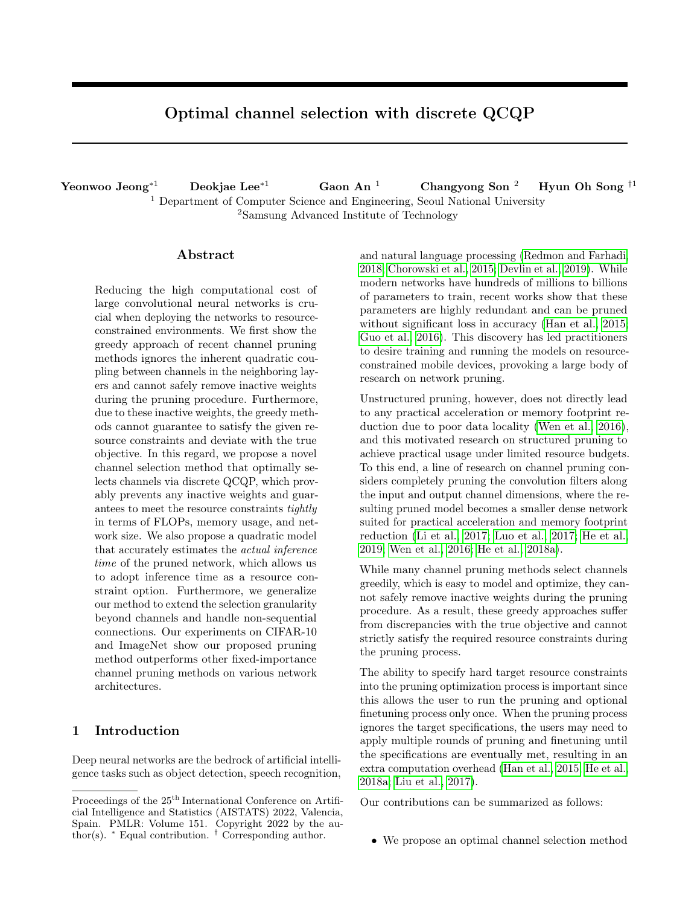# Optimal channel selection with discrete QCQP

Yeonwoo Jeong<sup>∗1</sup> Deokjae Lee<sup>∗1</sup> Gaon An<sup>1</sup> Changyong Son<sup>2</sup> Hyun Oh Song <sup>†1</sup> <sup>1</sup> Department of Computer Science and Engineering, Seoul National University <sup>2</sup>Samsung Advanced Institute of Technology

# Abstract

Reducing the high computational cost of large convolutional neural networks is crucial when deploying the networks to resourceconstrained environments. We first show the greedy approach of recent channel pruning methods ignores the inherent quadratic coupling between channels in the neighboring layers and cannot safely remove inactive weights during the pruning procedure. Furthermore, due to these inactive weights, the greedy methods cannot guarantee to satisfy the given resource constraints and deviate with the true objective. In this regard, we propose a novel channel selection method that optimally selects channels via discrete QCQP, which provably prevents any inactive weights and guarantees to meet the resource constraints tightly in terms of FLOPs, memory usage, and network size. We also propose a quadratic model that accurately estimates the actual inference time of the pruned network, which allows us to adopt inference time as a resource constraint option. Furthermore, we generalize our method to extend the selection granularity beyond channels and handle non-sequential connections. Our experiments on CIFAR-10 and ImageNet show our proposed pruning method outperforms other fixed-importance channel pruning methods on various network architectures.

# 1 Introduction

Deep neural networks are the bedrock of artificial intelligence tasks such as object detection, speech recognition, and natural language processing [\(Redmon and Farhadi,](#page-9-0) [2018;](#page-9-0) [Chorowski et al., 2015;](#page-8-0) [Devlin et al., 2019\)](#page-8-1). While modern networks have hundreds of millions to billions of parameters to train, recent works show that these parameters are highly redundant and can be pruned without significant loss in accuracy [\(Han et al., 2015;](#page-8-2) [Guo et al., 2016\)](#page-8-3). This discovery has led practitioners to desire training and running the models on resourceconstrained mobile devices, provoking a large body of research on network pruning.

Unstructured pruning, however, does not directly lead to any practical acceleration or memory footprint reduction due to poor data locality [\(Wen et al., 2016\)](#page-9-1), and this motivated research on structured pruning to achieve practical usage under limited resource budgets. To this end, a line of research on channel pruning considers completely pruning the convolution filters along the input and output channel dimensions, where the resulting pruned model becomes a smaller dense network suited for practical acceleration and memory footprint reduction [\(Li et al., 2017;](#page-8-4) [Luo et al., 2017;](#page-9-2) [He et al.,](#page-8-5) [2019;](#page-8-5) [Wen et al., 2016;](#page-9-1) [He et al., 2018a\)](#page-8-6).

While many channel pruning methods select channels greedily, which is easy to model and optimize, they cannot safely remove inactive weights during the pruning procedure. As a result, these greedy approaches suffer from discrepancies with the true objective and cannot strictly satisfy the required resource constraints during the pruning process.

The ability to specify hard target resource constraints into the pruning optimization process is important since this allows the user to run the pruning and optional finetuning process only once. When the pruning process ignores the target specifications, the users may need to apply multiple rounds of pruning and finetuning until the specifications are eventually met, resulting in an extra computation overhead [\(Han et al., 2015;](#page-8-2) [He et al.,](#page-8-6) [2018a;](#page-8-6) [Liu et al., 2017\)](#page-8-7).

Our contributions can be summarized as follows:

• We propose an optimal channel selection method

Proceedings of the  $25^{\mathrm{th}}$  International Conference on Artificial Intelligence and Statistics (AISTATS) 2022, Valencia, Spain. PMLR: Volume 151. Copyright 2022 by the author(s).  $*$  Equal contribution.  $\dagger$  Corresponding author.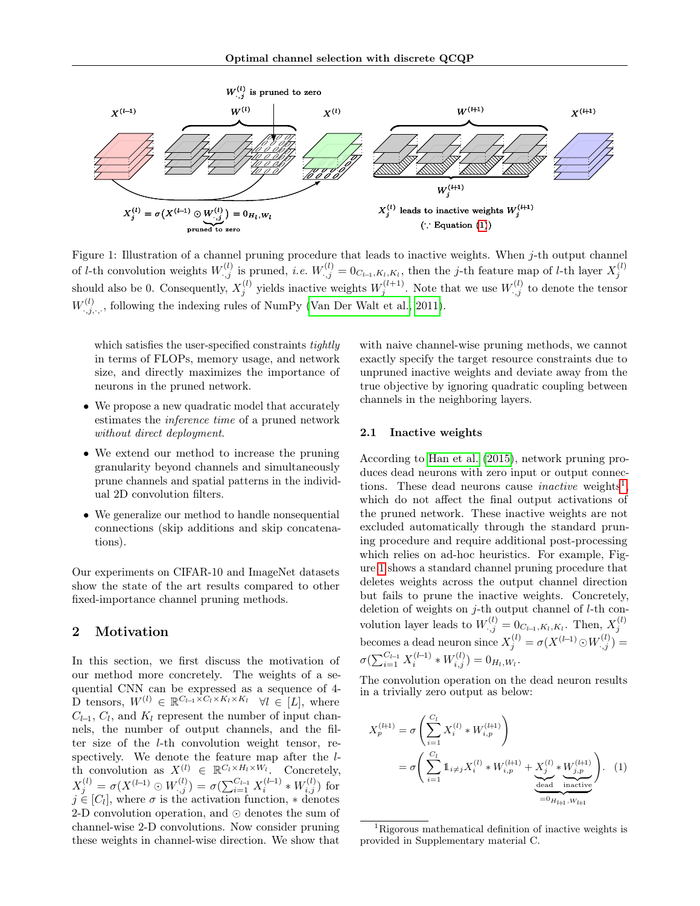<span id="page-1-2"></span>

Figure 1: Illustration of a channel pruning procedure that leads to inactive weights. When j-th output channel of *l*-th convolution weights  $W_{:,j}^{(l)}$  is pruned, *i.e.*  $W_{:,j}^{(l)} = 0_{C_{l-1},K_l,K_l}$ , then the *j*-th feature map of *l*-th layer  $X_j^{(l)}$ should also be 0. Consequently,  $X_j^{(l)}$  yields inactive weights  $W_j^{(l+1)}$ . Note that we use  $W_{\cdot,j}^{(l)}$  to denote the tensor  $W_{:,j,:,:}^{(l)}$ , following the indexing rules of NumPy [\(Van Der Walt et al., 2011\)](#page-9-3).

which satisfies the user-specified constraints *tightly* in terms of FLOPs, memory usage, and network size, and directly maximizes the importance of neurons in the pruned network.

- We propose a new quadratic model that accurately estimates the inference time of a pruned network without direct deployment.
- We extend our method to increase the pruning granularity beyond channels and simultaneously prune channels and spatial patterns in the individual 2D convolution filters.
- We generalize our method to handle nonsequential connections (skip additions and skip concatenations).

Our experiments on CIFAR-10 and ImageNet datasets show the state of the art results compared to other fixed-importance channel pruning methods.

# 2 Motivation

In this section, we first discuss the motivation of our method more concretely. The weights of a sequential CNN can be expressed as a sequence of 4- D tensors,  $W^{(l)} \in \mathbb{R}^{C_{l-1} \times C_l \times K_l \times K_l}$   $\forall l \in [L]$ , where  $C_{l-1}, C_l$ , and  $K_l$  represent the number of input channels, the number of output channels, and the filter size of the l-th convolution weight tensor, respectively. We denote the feature map after the lth convolution as  $X^{(l)} \in \mathbb{R}^{C_l \times H_l \times W_l}$ . Concretely,  $X_j^{(l)} = \sigma(X^{(l-1)} \odot W_{\cdot,j}^{(l)}) = \sigma(\sum_{i=1}^{C_{l-1}} X_i^{(l-1)} * W_{i,j}^{(l)})$  for  $j \in [C_l]$ , where  $\sigma$  is the activation function,  $*$  denotes 2-D convolution operation, and ⊙ denotes the sum of channel-wise 2-D convolutions. Now consider pruning these weights in channel-wise direction. We show that

with naive channel-wise pruning methods, we cannot exactly specify the target resource constraints due to unpruned inactive weights and deviate away from the true objective by ignoring quadratic coupling between channels in the neighboring layers.

## 2.1 Inactive weights

According to [Han et al.](#page-8-2) [\(2015\)](#page-8-2), network pruning produces dead neurons with zero input or output connections. These dead neurons cause *inactive* weights<sup>[1](#page-1-1)</sup>, which do not affect the final output activations of the pruned network. These inactive weights are not excluded automatically through the standard pruning procedure and require additional post-processing which relies on ad-hoc heuristics. For example, Figure [1](#page-1-2) shows a standard channel pruning procedure that deletes weights across the output channel direction but fails to prune the inactive weights. Concretely, deletion of weights on  $j$ -th output channel of  $l$ -th convolution layer leads to  $W_{:,j}^{(l)} = 0_{C_{l-1},K_l,K_l}$ . Then,  $X_j^{(l)}$ becomes a dead neuron since  $X_j^{(l)} = \sigma(X^{(l-1)} \odot W_{\cdot,j}^{(l)}) =$  $\sigma(\sum_{i=1}^{C_{l-1}} X_i^{(l-1)} * W_{i,j}^{(l)}) = 0_{H_l, W_l}.$ 

The convolution operation on the dead neuron results in a trivially zero output as below:

<span id="page-1-0"></span>
$$
X_p^{(l+1)} = \sigma \left( \sum_{i=1}^{C_l} X_i^{(l)} * W_{i,p}^{(l+1)} \right)
$$
  
= 
$$
\sigma \left( \sum_{i=1}^{C_l} \mathbb{1}_{i \neq j} X_i^{(l)} * W_{i,p}^{(l+1)} + \underbrace{X_j^{(l)} * W_{j,p}^{(l+1)}}_{\text{dead inactive}} \right).
$$
 (1)

<span id="page-1-1"></span><sup>&</sup>lt;sup>1</sup>Rigorous mathematical definition of inactive weights is provided in Supplementary material C.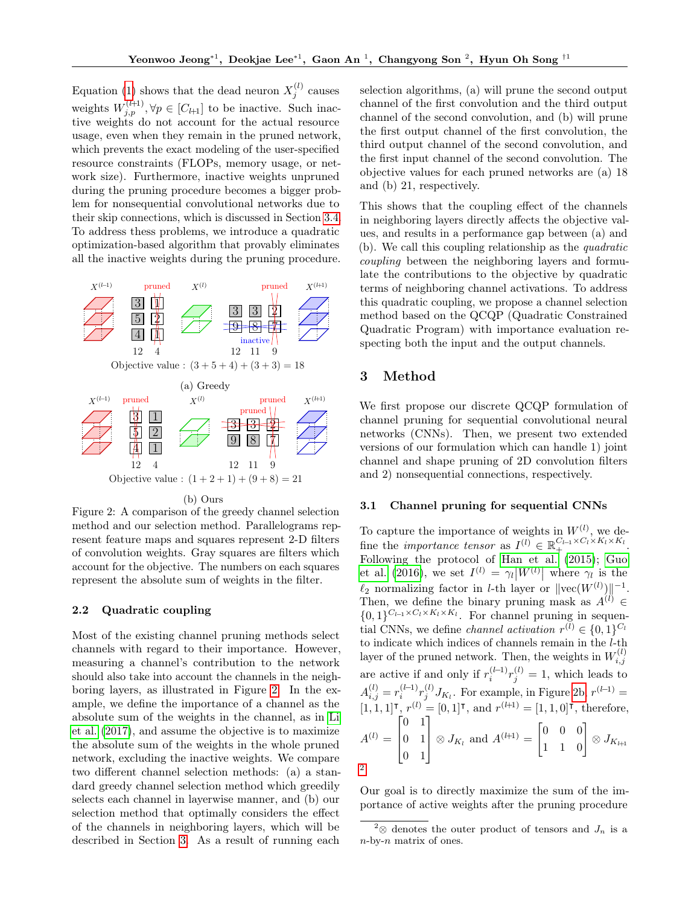Equation [\(1\)](#page-1-0) shows that the dead neuron  $X_j^{(l)}$  causes weights  $W_{j,p}^{(l+1)}, \forall p \in [C_{l+1}]$  to be inactive. Such inactive weights do not account for the actual resource usage, even when they remain in the pruned network, which prevents the exact modeling of the user-specified resource constraints (FLOPs, memory usage, or network size). Furthermore, inactive weights unpruned during the pruning procedure becomes a bigger problem for nonsequential convolutional networks due to their skip connections, which is discussed in Section [3.4.](#page-4-0) To address thess problems, we introduce a quadratic optimization-based algorithm that provably eliminates all the inactive weights during the pruning procedure.

<span id="page-2-0"></span>

Figure 2: A comparison of the greedy channel selection method and our selection method. Parallelograms represent feature maps and squares represent 2-D filters of convolution weights. Gray squares are filters which account for the objective. The numbers on each squares represent the absolute sum of weights in the filter.

# <span id="page-2-3"></span>2.2 Quadratic coupling

Most of the existing channel pruning methods select channels with regard to their importance. However, measuring a channel's contribution to the network should also take into account the channels in the neighboring layers, as illustrated in Figure [2.](#page-2-0) In the example, we define the importance of a channel as the absolute sum of the weights in the channel, as in [Li](#page-8-4) [et al.](#page-8-4) [\(2017\)](#page-8-4), and assume the objective is to maximize the absolute sum of the weights in the whole pruned network, excluding the inactive weights. We compare two different channel selection methods: (a) a standard greedy channel selection method which greedily selects each channel in layerwise manner, and (b) our selection method that optimally considers the effect of the channels in neighboring layers, which will be described in Section [3.](#page-2-1) As a result of running each selection algorithms, (a) will prune the second output channel of the first convolution and the third output channel of the second convolution, and (b) will prune the first output channel of the first convolution, the third output channel of the second convolution, and the first input channel of the second convolution. The objective values for each pruned networks are (a) 18 and (b) 21, respectively.

This shows that the coupling effect of the channels in neighboring layers directly affects the objective values, and results in a performance gap between (a) and (b). We call this coupling relationship as the quadratic coupling between the neighboring layers and formulate the contributions to the objective by quadratic terms of neighboring channel activations. To address this quadratic coupling, we propose a channel selection method based on the QCQP (Quadratic Constrained Quadratic Program) with importance evaluation respecting both the input and the output channels.

# <span id="page-2-1"></span>3 Method

We first propose our discrete QCQP formulation of channel pruning for sequential convolutional neural networks (CNNs). Then, we present two extended versions of our formulation which can handle 1) joint channel and shape pruning of 2D convolution filters and 2) nonsequential connections, respectively.

#### 3.1 Channel pruning for sequential CNNs

To capture the importance of weights in  $W^{(l)}$ , we define the *importance tensor* as  $I^{(l)} \in \mathbb{R}_+^{C_{l-1} \times C_l \times K_l \times K_l}$ . Following the protocol of [Han et al.](#page-8-2) [\(2015\)](#page-8-2); [Guo](#page-8-3) [et al.](#page-8-3) [\(2016\)](#page-8-3), we set  $I^{(l)} = \gamma_l |W^{(l)}|$  where  $\gamma_l$  is the  $\ell_2$  normalizing factor in *l*-th layer or  $||\text{vec}(W^{(l)})||^{-1}$ . Then, we define the binary pruning mask as  $A^{(l)} \in$  $\{0,1\}^{C_{l-1} \times C_l \times K_l \times K_l}$ . For channel pruning in sequential CNNs, we define *channel activation*  $r^{(l)} \in \{0, 1\}^{C_l}$ to indicate which indices of channels remain in the  $l$ -th layer of the pruned network. Then, the weights in  $W_{i,j}^{(l)}$ are active if and only if  $r_i^{(l-1)}r_j^{(l)} = 1$ , which leads to  $A_{i,j}^{(l)} = r_i^{(l-1)} r_j^{(l)} J_{K_l}$ . For example, in Figure [2b,](#page-2-0)  $r^{(l-1)} =$  $[1, 1, 1]$ <sup>T</sup>,  $r^{(l)} = [0, 1]$ <sup>T</sup>, and  $r^{(l+1)} = [1, 1, 0]$ <sup>T</sup>, therefore,  $A^{(l)} =$  $\lceil$  $\Big\}$ 0 1 0 1 0 1 1  $\Big| \otimes J_{K_l}$  and  $A^{(l+1)} =$  $\begin{bmatrix} 0 & 0 & 0 \ 1 & 1 & 0 \end{bmatrix} \otimes J_{K_{l+1}}$ [2](#page-2-2) .

Our goal is to directly maximize the sum of the importance of active weights after the pruning procedure

<span id="page-2-2"></span><sup>&</sup>lt;sup>2</sup>⊗ denotes the outer product of tensors and  $J_n$  is a  $n$ -by- $n$  matrix of ones.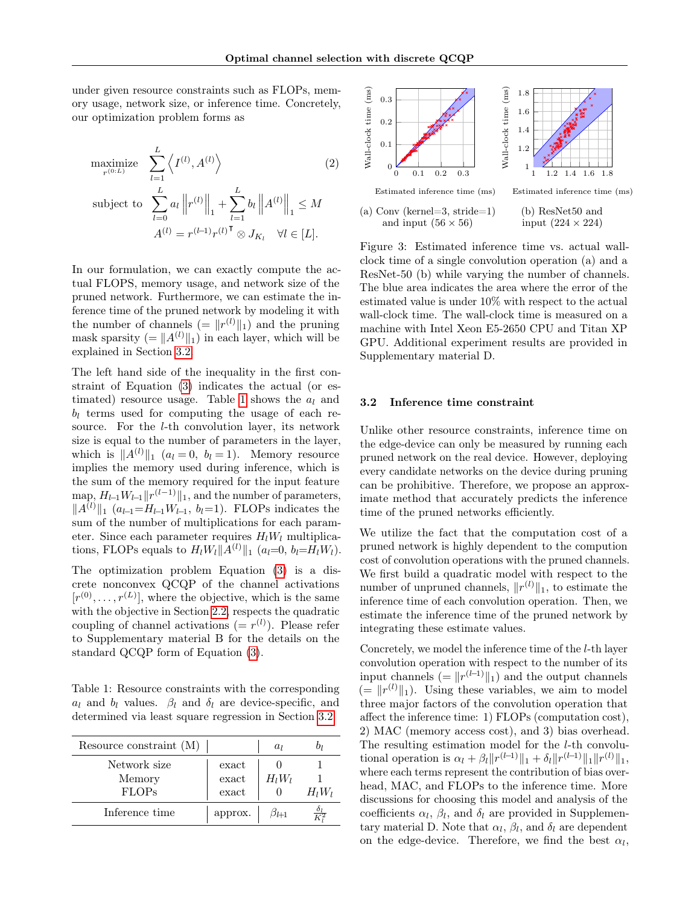under given resource constraints such as FLOPs, memory usage, network size, or inference time. Concretely, our optimization problem forms as

maximize 
$$
\sum_{l=1}^{L} \left\langle I^{(l)}, A^{(l)} \right\rangle
$$
(2)  
subject to 
$$
\sum_{l=0}^{L} a_l \left\| r^{(l)} \right\|_1 + \sum_{l=1}^{L} b_l \left\| A^{(l)} \right\|_1 \leq M
$$

$$
A^{(l)} = r^{(l-1)} r^{(l)} \otimes J_{K_l} \quad \forall l \in [L].
$$

In our formulation, we can exactly compute the actual FLOPS, memory usage, and network size of the pruned network. Furthermore, we can estimate the inference time of the pruned network by modeling it with the number of channels  $( = \|r^{(l)}\|_1 )$  and the pruning mask sparsity (=  $||A^{(l)}||_1$ ) in each layer, which will be explained in Section [3.2.](#page-3-0)

The left hand side of the inequality in the first constraint of Equation [\(3\)](#page-10-0) indicates the actual (or es-timated) resource usage. Table [1](#page-3-1) shows the  $a_l$  and  $b_l$  terms used for computing the usage of each resource. For the l-th convolution layer, its network size is equal to the number of parameters in the layer, which is  $||A^{(l)}||_1$  ( $a_l = 0, b_l = 1$ ). Memory resource implies the memory used during inference, which is the sum of the memory required for the input feature map,  $H_{l-1}W_{l-1}||r^{(l-1)}||_1$ , and the number of parameters,  $||A^{(l)}||_1$  (a<sub>l-1</sub>=H<sub>l-1</sub>W<sub>l-1</sub>, b<sub>l</sub>=1). FLOPs indicates the sum of the number of multiplications for each parameter. Since each parameter requires  $H_1W_1$  multiplications, FLOPs equals to  $H_lW_l||A^{(l)}||_1$  (a<sub>l</sub>=0, b<sub>l</sub>=H<sub>l</sub>W<sub>l</sub>).

The optimization problem Equation [\(3\)](#page-10-0) is a discrete nonconvex QCQP of the channel activations  $[r^{(0)}, \ldots, r^{(L)}]$ , where the objective, which is the same with the objective in Section [2.2,](#page-2-3) respects the quadratic coupling of channel activations  $(= r^{(l)})$ . Please refer to Supplementary material B for the details on the standard QCQP form of Equation [\(3\)](#page-10-0).

<span id="page-3-1"></span>Table 1: Resource constraints with the corresponding  $a_l$  and  $b_l$  values.  $\beta_l$  and  $\delta_l$  are device-specific, and determined via least square regression in Section [3.2.](#page-3-0)

| Resource constraint $(M)$ |                        | $a_l$    |          |
|---------------------------|------------------------|----------|----------|
| Network size              | exact                  |          |          |
| Memory                    | exact                  | $H_lW_l$ |          |
| <b>FLOPs</b>              | $\operatorname{exact}$ |          | $H_lW_l$ |
| Inference time            | approx.                |          |          |



Figure 3: Estimated inference time vs. actual wallclock time of a single convolution operation (a) and a ResNet-50 (b) while varying the number of channels. The blue area indicates the area where the error of the estimated value is under 10% with respect to the actual wall-clock time. The wall-clock time is measured on a machine with Intel Xeon E5-2650 CPU and Titan XP GPU. Additional experiment results are provided in Supplementary material D.

#### <span id="page-3-0"></span>3.2 Inference time constraint

Unlike other resource constraints, inference time on the edge-device can only be measured by running each pruned network on the real device. However, deploying every candidate networks on the device during pruning can be prohibitive. Therefore, we propose an approximate method that accurately predicts the inference time of the pruned networks efficiently.

We utilize the fact that the computation cost of a pruned network is highly dependent to the compution cost of convolution operations with the pruned channels. We first build a quadratic model with respect to the number of unpruned channels,  $||r^{(l)}||_1$ , to estimate the inference time of each convolution operation. Then, we estimate the inference time of the pruned network by integrating these estimate values.

Concretely, we model the inference time of the l-th layer convolution operation with respect to the number of its input channels  $(=\|r^{(l-1)}\|_1)$  and the output channels  $( = \|r^{(l)}\|_1).$  Using these variables, we aim to model three major factors of the convolution operation that affect the inference time: 1) FLOPs (computation cost), 2) MAC (memory access cost), and 3) bias overhead. The resulting estimation model for the l-th convolutional operation is  $\alpha_l + \beta_l \|r^{(l-1)}\|_1 + \delta_l \|r^{(l-1)}\|_1 \|r^{(l)}\|_1$ , where each terms represent the contribution of bias overhead, MAC, and FLOPs to the inference time. More discussions for choosing this model and analysis of the coefficients  $\alpha_l$ ,  $\beta_l$ , and  $\delta_l$  are provided in Supplementary material D. Note that  $\alpha_l$ ,  $\beta_l$ , and  $\delta_l$  are dependent on the edge-device. Therefore, we find the best  $\alpha_l$ ,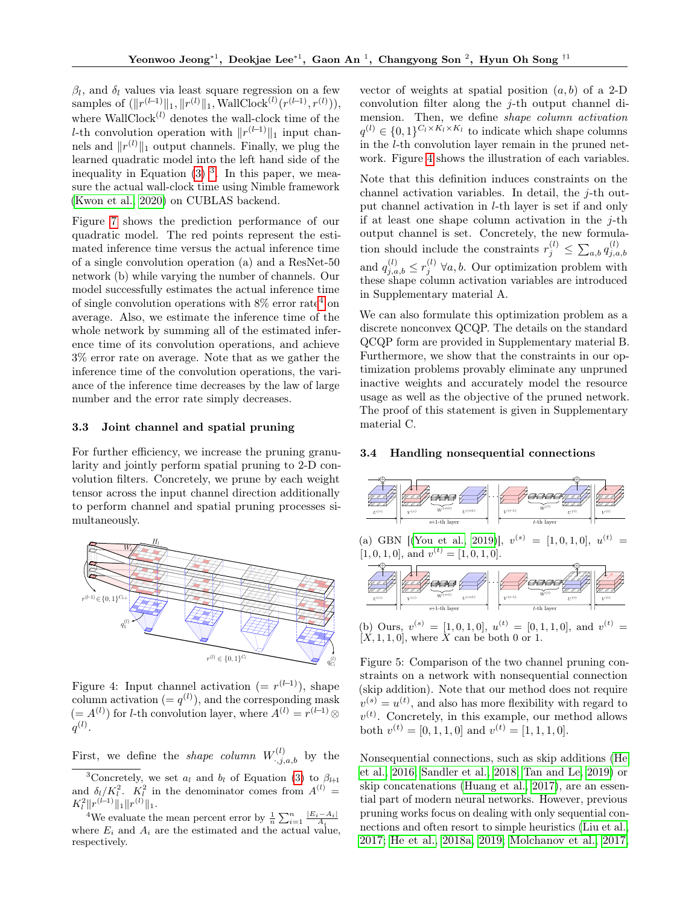$\beta_l$ , and  $\delta_l$  values via least square regression on a few samples of  $(\|r^{(l-1)}\|_1, \|r^{(l)}\|_1, \text{WallClock}^{(l)}(r^{(l-1)}, r^{(l)})),$ where  $\text{WallClock}^{(l)}$  denotes the wall-clock time of the l-th convolution operation with  $||r^{(l-1)}||_1$  input channels and  $||r^{(l)}||_1$  output channels. Finally, we plug the learned quadratic model into the left hand side of the inequality in Equation  $(3)$ <sup>[3](#page-4-1)</sup>. In this paper, we measure the actual wall-clock time using Nimble framework [\(Kwon et al., 2020\)](#page-8-8) on CUBLAS backend.

Figure [7](#page-18-0) shows the prediction performance of our quadratic model. The red points represent the estimated inference time versus the actual inference time of a single convolution operation (a) and a ResNet-50 network (b) while varying the number of channels. Our model successfully estimates the actual inference time of single convolution operations with  $8\%$  error rate<sup>[4](#page-4-2)</sup> on average. Also, we estimate the inference time of the whole network by summing all of the estimated inference time of its convolution operations, and achieve 3% error rate on average. Note that as we gather the inference time of the convolution operations, the variance of the inference time decreases by the law of large number and the error rate simply decreases.

#### 3.3 Joint channel and spatial pruning

For further efficiency, we increase the pruning granularity and jointly perform spatial pruning to 2-D convolution filters. Concretely, we prune by each weight tensor across the input channel direction additionally to perform channel and spatial pruning processes simultaneously.

<span id="page-4-3"></span>

Figure 4: Input channel activation  $(= r^{(l-1)})$ , shape column activation  $(= q^{(l)})$ , and the corresponding mask  $(= A<sup>(l)</sup>)$  for *l*-th convolution layer, where  $A<sup>(l)</sup> = r<sup>(l-1)</sup> \otimes$  $q^{(l)}$ .

First, we define the *shape column*  $W^{(l)}_{\cdot,j,a,b}$  by the

<span id="page-4-2"></span><sup>4</sup>We evaluate the mean percent error by  $\frac{1}{n} \sum_{i=1}^{n} \frac{|E_i - A_i|}{A_i}$ where  $E_i$  and  $A_i$  are the estimated and the actual value, respectively.

vector of weights at spatial position  $(a, b)$  of a 2-D convolution filter along the j-th output channel dimension. Then, we define shape column activation  $q^{(l)} \in \{0,1\}^{C_l \times K_l \times K_l}$  to indicate which shape columns in the l-th convolution layer remain in the pruned network. Figure [4](#page-4-3) shows the illustration of each variables.

Note that this definition induces constraints on the channel activation variables. In detail, the j-th output channel activation in l-th layer is set if and only if at least one shape column activation in the  $j$ -th output channel is set. Concretely, the new formulation should include the constraints  $r_j^{(l)} \leq \sum_{a,b} q_{j,a}^{(l)}$  $j,a,b$ and  $q_{j,a,b}^{(l)} \leq r_j^{(l)}$   $\forall a,b.$  Our optimization problem with these shape column activation variables are introduced in Supplementary material A.

We can also formulate this optimization problem as a discrete nonconvex QCQP. The details on the standard QCQP form are provided in Supplementary material B. Furthermore, we show that the constraints in our optimization problems provably eliminate any unpruned inactive weights and accurately model the resource usage as well as the objective of the pruned network. The proof of this statement is given in Supplementary material C.

# <span id="page-4-0"></span>3.4 Handling nonsequential connections



(a) GBN [[\(You et al., 2019\)](#page-9-4)],  $v^{(s)} = [1, 0, 1, 0], u^{(t)} =$  $[1, 0, 1, 0]$ , and  $v^{(t)} = [1, 0, 1, 0]$ .



(b) Ours,  $v^{(s)} = [1, 0, 1, 0], u^{(t)} = [0, 1, 1, 0], \text{ and } v^{(t)} =$  $[X, 1, 1, 0]$ , where X can be both 0 or 1.

Figure 5: Comparison of the two channel pruning constraints on a network with nonsequential connection (skip addition). Note that our method does not require  $v^{(s)} = u^{(t)}$ , and also has more flexibility with regard to  $v^{(t)}$ . Concretely, in this example, our method allows both  $v^{(t)} = [0, 1, 1, 0]$  and  $v^{(t)} = [1, 1, 1, 0]$ .

Nonsequential connections, such as skip additions [\(He](#page-8-9) [et al., 2016;](#page-8-9) [Sandler et al., 2018;](#page-9-5) [Tan and Le, 2019\)](#page-9-6) or skip concatenations [\(Huang et al., 2017\)](#page-8-10), are an essential part of modern neural networks. However, previous pruning works focus on dealing with only sequential connections and often resort to simple heuristics [\(Liu et al.,](#page-8-7) [2017;](#page-8-7) [He et al., 2018a,](#page-8-6) [2019;](#page-8-5) [Molchanov et al., 2017,](#page-9-7)

<span id="page-4-1"></span><sup>&</sup>lt;sup>3</sup>Concretely, we set  $a_l$  and  $b_l$  of Equation [\(3\)](#page-10-0) to  $\beta_{l+1}$ and  $\delta_l/K_l^2$ .  $K_l^2$  in the denominator comes from  $A^{(l)}$  = and  $\frac{\partial l}{R_l}$  |  $\sum_{l=1}^{n}$  |  $\frac{R_l}{l}$  |  $\frac{R_l}{l}$  |  $\frac{R_l}{l}$  |  $\frac{R_l}{l}$  |  $\frac{R_l}{l}$  |  $\frac{R_l}{l}$  |  $\frac{R_l}{l}$  |  $\frac{R_l}{l}$  |  $\frac{R_l}{l}$  |  $\frac{R_l}{l}$  |  $\frac{R_l}{l}$  |  $\frac{R_l}{l}$  |  $\frac{R_l}{l}$  |  $\frac{R_l}{l}$  |  $\frac{R_l$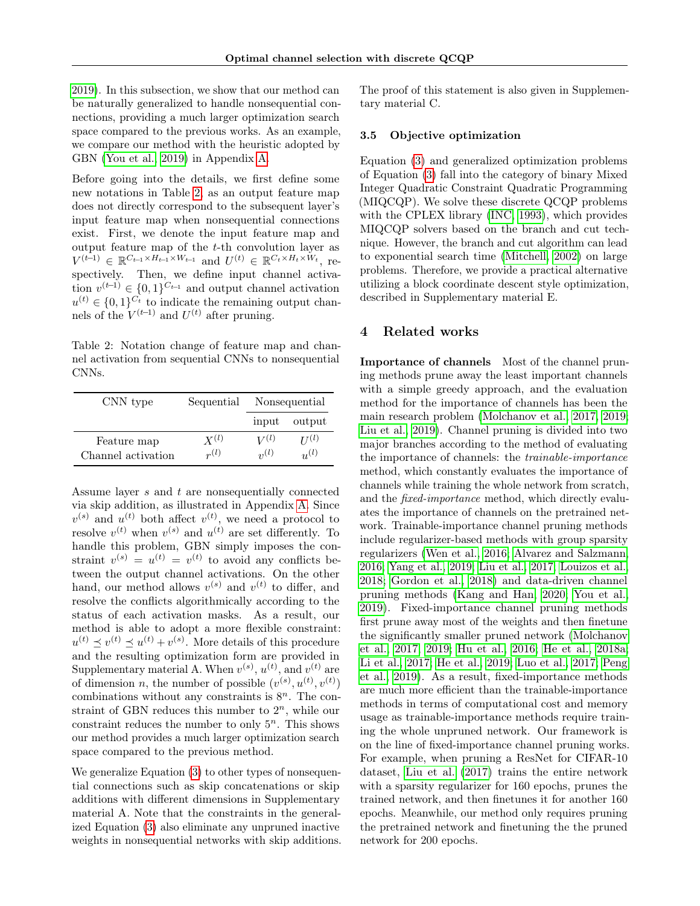[2019\)](#page-9-8). In this subsection, we show that our method can be naturally generalized to handle nonsequential connections, providing a much larger optimization search space compared to the previous works. As an example, we compare our method with the heuristic adopted by GBN [\(You et al., 2019\)](#page-9-4) in Appendix [A.](#page-12-0)

Before going into the details, we first define some new notations in Table [2,](#page-5-0) as an output feature map does not directly correspond to the subsequent layer's input feature map when nonsequential connections exist. First, we denote the input feature map and output feature map of the t-th convolution layer as  $V^{(t-1)} \in \mathbb{R}^{C_{t-1} \times H_{t-1} \times W_{t-1}}$  and  $U^{(t)} \in \mathbb{R}^{C_t \times H_t \times W_t}$ , respectively. Then, we define input channel activation  $v^{(t-1)} \in \{0,1\}^{C_{t-1}}$  and output channel activation  $u^{(t)} \in \{0,1\}^{C_t}$  to indicate the remaining output channels of the  $V^{(t-1)}$  and  $U^{(t)}$  after pruning.

<span id="page-5-0"></span>Table 2: Notation change of feature map and channel activation from sequential CNNs to nonsequential CNNs.

| CNN type           | Sequential             | Nonsequential            |                        |  |
|--------------------|------------------------|--------------------------|------------------------|--|
|                    |                        | input                    | output                 |  |
| Feature map        | $X^{(l)}$<br>$r^{(l)}$ | $V^{(l)}$<br>$\eta_2(l)$ | $H^{(l)}$<br>$u^{(l)}$ |  |
| Channel activation |                        |                          |                        |  |

Assume layer s and t are nonsequentially connected via skip addition, as illustrated in Appendix [A.](#page-12-0) Since  $v^{(s)}$  and  $u^{(t)}$  both affect  $v^{(t)}$ , we need a protocol to resolve  $v^{(t)}$  when  $v^{(s)}$  and  $u^{(t)}$  are set differently. To handle this problem, GBN simply imposes the constraint  $v^{(s)} = u^{(t)} = v^{(t)}$  to avoid any conflicts between the output channel activations. On the other hand, our method allows  $v^{(s)}$  and  $v^{(t)}$  to differ, and resolve the conflicts algorithmically according to the status of each activation masks. As a result, our method is able to adopt a more flexible constraint:  $u^{(t)} \preceq v^{(t)} \preceq u^{(t)} + v^{(s)}$ . More details of this procedure and the resulting optimization form are provided in Supplementary material A. When  $v^{(s)}$ ,  $u^{(t)}$ , and  $v^{(t)}$  are of dimension *n*, the number of possible  $(v^{(s)}, u^{(t)}, v^{(t)})$ combinations without any constraints is  $8<sup>n</sup>$ . The constraint of GBN reduces this number to  $2<sup>n</sup>$ , while our constraint reduces the number to only  $5<sup>n</sup>$ . This shows our method provides a much larger optimization search space compared to the previous method.

We generalize Equation [\(3\)](#page-10-0) to other types of nonsequential connections such as skip concatenations or skip additions with different dimensions in Supplementary material A. Note that the constraints in the generalized Equation [\(3\)](#page-10-0) also eliminate any unpruned inactive weights in nonsequential networks with skip additions. The proof of this statement is also given in Supplementary material C.

#### 3.5 Objective optimization

Equation [\(3\)](#page-10-0) and generalized optimization problems of Equation [\(3\)](#page-10-0) fall into the category of binary Mixed Integer Quadratic Constraint Quadratic Programming (MIQCQP). We solve these discrete QCQP problems with the CPLEX library [\(INC, 1993\)](#page-8-11), which provides MIQCQP solvers based on the branch and cut technique. However, the branch and cut algorithm can lead to exponential search time [\(Mitchell, 2002\)](#page-9-9) on large problems. Therefore, we provide a practical alternative utilizing a block coordinate descent style optimization, described in Supplementary material E.

# 4 Related works

Importance of channels Most of the channel pruning methods prune away the least important channels with a simple greedy approach, and the evaluation method for the importance of channels has been the main research problem [\(Molchanov et al., 2017,](#page-9-7) [2019;](#page-9-8) [Liu et al., 2019\)](#page-8-12). Channel pruning is divided into two major branches according to the method of evaluating the importance of channels: the trainable-importance method, which constantly evaluates the importance of channels while training the whole network from scratch, and the fixed-importance method, which directly evaluates the importance of channels on the pretrained network. Trainable-importance channel pruning methods include regularizer-based methods with group sparsity regularizers [\(Wen et al., 2016;](#page-9-1) [Alvarez and Salzmann,](#page-8-13) [2016;](#page-8-13) [Yang et al., 2019;](#page-9-10) [Liu et al., 2017;](#page-8-7) [Louizos et al.,](#page-9-11) [2018;](#page-9-11) [Gordon et al., 2018\)](#page-8-14) and data-driven channel pruning methods [\(Kang and Han, 2020;](#page-8-15) [You et al.,](#page-9-4) [2019\)](#page-9-4). Fixed-importance channel pruning methods first prune away most of the weights and then finetune the significantly smaller pruned network [\(Molchanov](#page-9-7) [et al., 2017,](#page-9-7) [2019;](#page-9-8) [Hu et al., 2016;](#page-8-16) [He et al., 2018a;](#page-8-6) [Li et al., 2017;](#page-8-4) [He et al., 2019;](#page-8-5) [Luo et al., 2017;](#page-9-2) [Peng](#page-9-12) [et al., 2019\)](#page-9-12). As a result, fixed-importance methods are much more efficient than the trainable-importance methods in terms of computational cost and memory usage as trainable-importance methods require training the whole unpruned network. Our framework is on the line of fixed-importance channel pruning works. For example, when pruning a ResNet for CIFAR-10 dataset, [Liu et al.](#page-8-7) [\(2017\)](#page-8-7) trains the entire network with a sparsity regularizer for 160 epochs, prunes the trained network, and then finetunes it for another 160 epochs. Meanwhile, our method only requires pruning the pretrained network and finetuning the the pruned network for 200 epochs.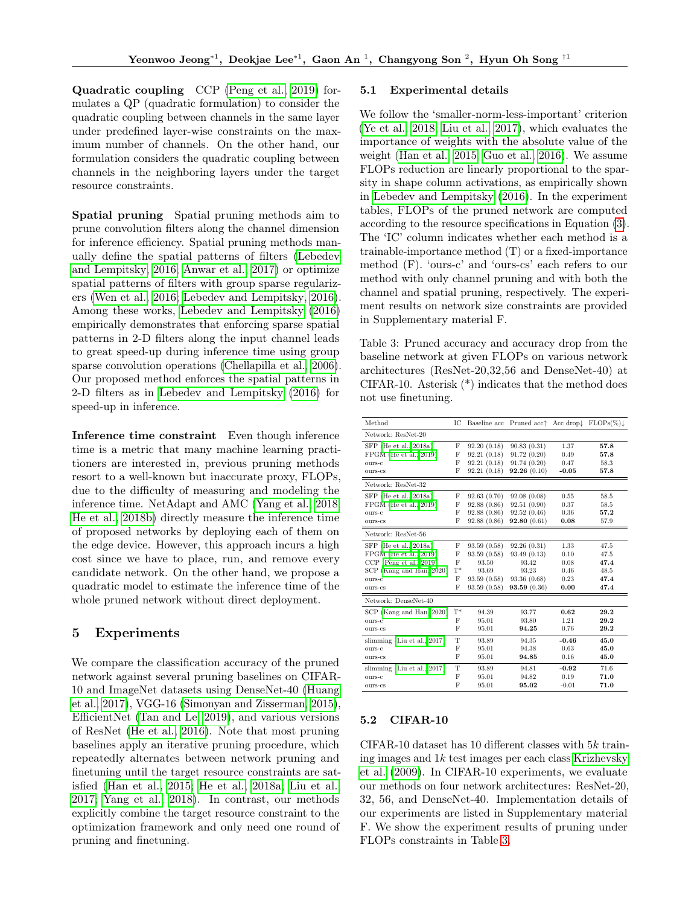Quadratic coupling CCP [\(Peng et al., 2019\)](#page-9-12) formulates a QP (quadratic formulation) to consider the quadratic coupling between channels in the same layer under predefined layer-wise constraints on the maximum number of channels. On the other hand, our formulation considers the quadratic coupling between channels in the neighboring layers under the target resource constraints.

Spatial pruning Spatial pruning methods aim to prune convolution filters along the channel dimension for inference efficiency. Spatial pruning methods manually define the spatial patterns of filters [\(Lebedev](#page-8-17) [and Lempitsky, 2016;](#page-8-17) [Anwar et al., 2017\)](#page-8-18) or optimize spatial patterns of filters with group sparse regularizers [\(Wen et al., 2016;](#page-9-1) [Lebedev and Lempitsky, 2016\)](#page-8-17). Among these works, [Lebedev and Lempitsky](#page-8-17) [\(2016\)](#page-8-17) empirically demonstrates that enforcing sparse spatial patterns in 2-D filters along the input channel leads to great speed-up during inference time using group sparse convolution operations [\(Chellapilla et al., 2006\)](#page-8-19). Our proposed method enforces the spatial patterns in 2-D filters as in [Lebedev and Lempitsky](#page-8-17) [\(2016\)](#page-8-17) for speed-up in inference.

Inference time constraint Even though inference time is a metric that many machine learning practitioners are interested in, previous pruning methods resort to a well-known but inaccurate proxy, FLOPs, due to the difficulty of measuring and modeling the inference time. NetAdapt and AMC [\(Yang et al., 2018;](#page-9-13) [He et al., 2018b\)](#page-8-20) directly measure the inference time of proposed networks by deploying each of them on the edge device. However, this approach incurs a high cost since we have to place, run, and remove every candidate network. On the other hand, we propose a quadratic model to estimate the inference time of the whole pruned network without direct deployment.

# 5 Experiments

We compare the classification accuracy of the pruned network against several pruning baselines on CIFAR-10 and ImageNet datasets using DenseNet-40 [\(Huang](#page-8-10) [et al., 2017\)](#page-8-10), VGG-16 [\(Simonyan and Zisserman, 2015\)](#page-9-14), EfficientNet [\(Tan and Le, 2019\)](#page-9-6), and various versions of ResNet [\(He et al., 2016\)](#page-8-9). Note that most pruning baselines apply an iterative pruning procedure, which repeatedly alternates between network pruning and finetuning until the target resource constraints are satisfied [\(Han et al., 2015;](#page-8-2) [He et al., 2018a;](#page-8-6) [Liu et al.,](#page-8-7) [2017;](#page-8-7) [Yang et al., 2018\)](#page-9-13). In contrast, our methods explicitly combine the target resource constraint to the optimization framework and only need one round of pruning and finetuning.

#### 5.1 Experimental details

We follow the 'smaller-norm-less-important' criterion [\(Ye et al., 2018;](#page-9-15) [Liu et al., 2017\)](#page-8-7), which evaluates the importance of weights with the absolute value of the weight [\(Han et al., 2015;](#page-8-2) [Guo et al., 2016\)](#page-8-3). We assume FLOPs reduction are linearly proportional to the sparsity in shape column activations, as empirically shown in [Lebedev and Lempitsky](#page-8-17) [\(2016\)](#page-8-17). In the experiment tables, FLOPs of the pruned network are computed according to the resource specifications in Equation [\(3\)](#page-10-0). The 'IC' column indicates whether each method is a trainable-importance method (T) or a fixed-importance method (F). 'ours-c' and 'ours-cs' each refers to our method with only channel pruning and with both the channel and spatial pruning, respectively. The experiment results on network size constraints are provided in Supplementary material F.

<span id="page-6-0"></span>Table 3: Pruned accuracy and accuracy drop from the baseline network at given FLOPs on various network architectures (ResNet-20,32,56 and DenseNet-40) at CIFAR-10. Asterisk (\*) indicates that the method does not use finetuning.

| Method                         | ТC             | Baseline acc | Pruned acc <sup>+</sup> |         | Acc drop $\downarrow$ FLOPs $(\%) \downarrow$ |
|--------------------------------|----------------|--------------|-------------------------|---------|-----------------------------------------------|
| Network: ResNet-20             |                |              |                         |         |                                               |
| SFP (He et al., 2018a)         | F              | 92.20(0.18)  | 90.83(0.31)             | 1.37    | 57.8                                          |
| FPGM (He et al., 2019)         | F              | 92.21(0.18)  | 91.72(0.20)             | 0.49    | 57.8                                          |
| ours-c                         | F              | 92.21(0.18)  | 91.74(0.20)             | 0.47    | 58.3                                          |
| ours-cs                        | F              | 92.21(0.18)  | 92.26(0.10)             | $-0.05$ | 57.8                                          |
| Network: ResNet-32             |                |              |                         |         |                                               |
| SFP (He et al., 2018a)         | F              | 92.63(0.70)  | 92.08(0.08)             | 0.55    | 58.5                                          |
| $FPGM$ (He et al., 2019)       | F              | 92.88(0.86)  | 92.51(0.90)             | 0.37    | 58.5                                          |
| ours-c                         | F              | 92.88(0.86)  | 92.52(0.46)             | 0.36    | 57.2                                          |
| ours-cs                        | F              | 92.88(0.86)  | 92.80(0.61)             | 0.08    | 57.9                                          |
| Network: ResNet-56             |                |              |                         |         |                                               |
| SFP (He et al., 2018a)         | F              | 93.59(0.58)  | 92.26(0.31)             | 1.33    | 47.5                                          |
| FPGM (He et al., 2019)         | F              | 93.59(0.58)  | 93.49(0.13)             | 0.10    | 47.5                                          |
| $CCP$ (Peng et al., 2019)      | F              | 93.50        | 93.42                   | 0.08    | 47.4                                          |
| SCP (Kang and Han, 2020)       | $\mathrm{T}^*$ | 93.69        | 93.23                   | 0.46    | 48.5                                          |
| ours-c                         | F              | 93.59(0.58)  | 93.36 (0.68)            | 0.23    | 47.4                                          |
| ours-cs                        | F              | 93.59 (0.58) | 93.59(0.36)             | 0.00    | 47.4                                          |
| Network: DenseNet-40           |                |              |                         |         |                                               |
| SCP (Kang and Han, 2020)       | $\rm T^*$      | 94.39        | 93.77                   | 0.62    | 29.2                                          |
| ours-c                         | F              | 95.01        | 93.80                   | 1.21    | 29.2                                          |
| ours-cs                        | F              | 95.01        | 94.25                   | 0.76    | 29.2                                          |
| slimming (Liu et al., $2017$ ) | т              | 93.89        | 94.35                   | $-0.46$ | 45.0                                          |
| ours-c                         | F              | 95.01        | 94.38                   | 0.63    | 45.0                                          |
| ours-cs                        | F              | 95.01        | 94.85                   | 0.16    | 45.0                                          |
| slimming (Liu et al., $2017$ ) | т              | 93.89        | 94.81                   | $-0.92$ | 71.6                                          |
| ours-c                         | F              | 95.01        | 94.82                   | 0.19    | 71.0                                          |
| ours-cs                        | F              | 95.01        | 95.02                   | $-0.01$ | 71.0                                          |

# 5.2 CIFAR-10

CIFAR-10 dataset has 10 different classes with 5k training images and  $1k$  test images per each class [Krizhevsky](#page-8-21) [et al.](#page-8-21) [\(2009\)](#page-8-21). In CIFAR-10 experiments, we evaluate our methods on four network architectures: ResNet-20, 32, 56, and DenseNet-40. Implementation details of our experiments are listed in Supplementary material F. We show the experiment results of pruning under FLOPs constraints in Table [3.](#page-6-0)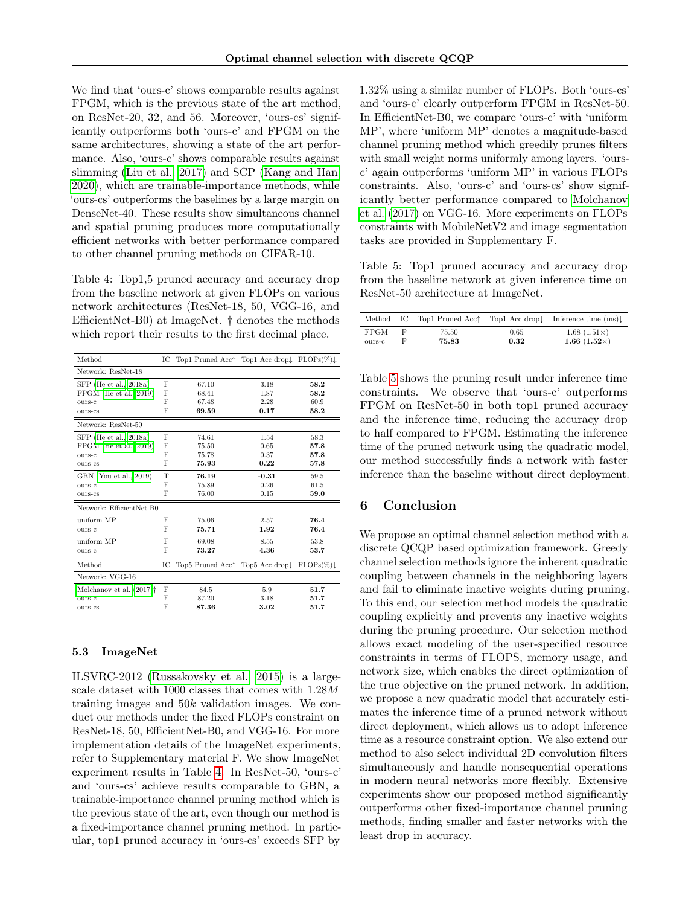We find that 'ours-c' shows comparable results against FPGM, which is the previous state of the art method, on ResNet-20, 32, and 56. Moreover, 'ours-cs' significantly outperforms both 'ours-c' and FPGM on the same architectures, showing a state of the art performance. Also, 'ours-c' shows comparable results against slimming [\(Liu et al., 2017\)](#page-8-7) and SCP [\(Kang and Han,](#page-8-15) [2020\)](#page-8-15), which are trainable-importance methods, while 'ours-cs' outperforms the baselines by a large margin on DenseNet-40. These results show simultaneous channel and spatial pruning produces more computationally efficient networks with better performance compared to other channel pruning methods on CIFAR-10.

<span id="page-7-0"></span>Table 4: Top1,5 pruned accuracy and accuracy drop from the baseline network at given FLOPs on various network architectures (ResNet-18, 50, VGG-16, and EfficientNet-B0) at ImageNet. † denotes the methods which report their results to the first decimal place.

| Method                                 | IС | Top1 Pruned Acc <sup><math>\uparrow</math></sup> Top1 Acc drop $\downarrow$ FLOPs(%) |                                                  |      |
|----------------------------------------|----|--------------------------------------------------------------------------------------|--------------------------------------------------|------|
| Network: ResNet-18                     |    |                                                                                      |                                                  |      |
| SFP (He et al., 2018a)                 | F  | 67.10                                                                                | 3.18                                             | 58.2 |
| $FPGM$ (He et al., 2019)               | F  | 68.41                                                                                | 1.87                                             | 58.2 |
| OUTS-C                                 | F  | 67.48                                                                                | 2.28                                             | 60.9 |
| ours-cs                                | F  | 69.59                                                                                | 0.17                                             | 58.2 |
| Network: ResNet-50                     |    |                                                                                      |                                                  |      |
| SFP (He et al., 2018a)                 | F  | 74.61                                                                                | 1.54                                             | 58.3 |
| FPGM (He et al., 2019)                 | F  | 75.50                                                                                | 0.65                                             | 57.8 |
| ours-c                                 | F  | 75.78                                                                                | 0.37                                             | 57.8 |
| ours-cs                                | F  | 75.93                                                                                | 0.22                                             | 57.8 |
| GBN (You et al., 2019)                 | T  | 76.19                                                                                | $-0.31$                                          | 59.5 |
| ours-c                                 | F  | 75.89                                                                                | 0.26                                             | 61.5 |
| ours-cs                                | F  | 76.00                                                                                | 0.15                                             | 59.0 |
| Network: EfficientNet-B0               |    |                                                                                      |                                                  |      |
| uniform MP                             | F  | 75.06                                                                                | 2.57                                             | 76.4 |
| OUTS-C                                 | F  | 75.71                                                                                | 1.92                                             | 76.4 |
| uniform MP                             | F  | 69.08                                                                                | 8.55                                             | 53.8 |
| ours-c                                 | F  | 73.27                                                                                | 4.36                                             | 53.7 |
| Method                                 | IC | Top5 Pruned Acc†                                                                     | Top5 Acc drop $\downarrow$ FLOPs(%) $\downarrow$ |      |
| Network: VGG-16                        |    |                                                                                      |                                                  |      |
| Molchanov et al. $(2017)$ <sup>+</sup> | F  | 84.5                                                                                 | 5.9                                              | 51.7 |
| OUTS-C                                 | F  | 87.20                                                                                | 3.18                                             | 51.7 |
| ours-cs                                | F  | 87.36                                                                                | 3.02                                             | 51.7 |

#### 5.3 ImageNet

ILSVRC-2012 [\(Russakovsky et al., 2015\)](#page-9-16) is a largescale dataset with 1000 classes that comes with 1.28M training images and  $50k$  validation images. We conduct our methods under the fixed FLOPs constraint on ResNet-18, 50, EfficientNet-B0, and VGG-16. For more implementation details of the ImageNet experiments, refer to Supplementary material F. We show ImageNet experiment results in Table [4.](#page-7-0) In ResNet-50, 'ours-c' and 'ours-cs' achieve results comparable to GBN, a trainable-importance channel pruning method which is the previous state of the art, even though our method is a fixed-importance channel pruning method. In particular, top1 pruned accuracy in 'ours-cs' exceeds SFP by 1.32% using a similar number of FLOPs. Both 'ours-cs' and 'ours-c' clearly outperform FPGM in ResNet-50. In EfficientNet-B0, we compare 'ours-c' with 'uniform MP', where 'uniform MP' denotes a magnitude-based channel pruning method which greedily prunes filters with small weight norms uniformly among layers. 'oursc' again outperforms 'uniform MP' in various FLOPs constraints. Also, 'ours-c' and 'ours-cs' show significantly better performance compared to [Molchanov](#page-9-7) [et al.](#page-9-7) [\(2017\)](#page-9-7) on VGG-16. More experiments on FLOPs constraints with MobileNetV2 and image segmentation tasks are provided in Supplementary F.

<span id="page-7-1"></span>Table 5: Top1 pruned accuracy and accuracy drop from the baseline network at given inference time on ResNet-50 architecture at ImageNet.

|             |   |       |      | Method IC Top1 Pruned Acc <sup><math>\uparrow</math></sup> Top1 Acc drop $\downarrow$ Inference time (ms) |
|-------------|---|-------|------|-----------------------------------------------------------------------------------------------------------|
| <b>FPGM</b> | F | 75.50 | 0.65 | $1.68(1.51\times)$                                                                                        |
| ours-c      | F | 75.83 | 0.32 | 1.66 $(1.52\times)$                                                                                       |

Table [5](#page-7-1) shows the pruning result under inference time constraints. We observe that 'ours-c' outperforms FPGM on ResNet-50 in both top1 pruned accuracy and the inference time, reducing the accuracy drop to half compared to FPGM. Estimating the inference time of the pruned network using the quadratic model, our method successfully finds a network with faster inference than the baseline without direct deployment.

# 6 Conclusion

We propose an optimal channel selection method with a discrete QCQP based optimization framework. Greedy channel selection methods ignore the inherent quadratic coupling between channels in the neighboring layers and fail to eliminate inactive weights during pruning. To this end, our selection method models the quadratic coupling explicitly and prevents any inactive weights during the pruning procedure. Our selection method allows exact modeling of the user-specified resource constraints in terms of FLOPS, memory usage, and network size, which enables the direct optimization of the true objective on the pruned network. In addition, we propose a new quadratic model that accurately estimates the inference time of a pruned network without direct deployment, which allows us to adopt inference time as a resource constraint option. We also extend our method to also select individual 2D convolution filters simultaneously and handle nonsequential operations in modern neural networks more flexibly. Extensive experiments show our proposed method significantly outperforms other fixed-importance channel pruning methods, finding smaller and faster networks with the least drop in accuracy.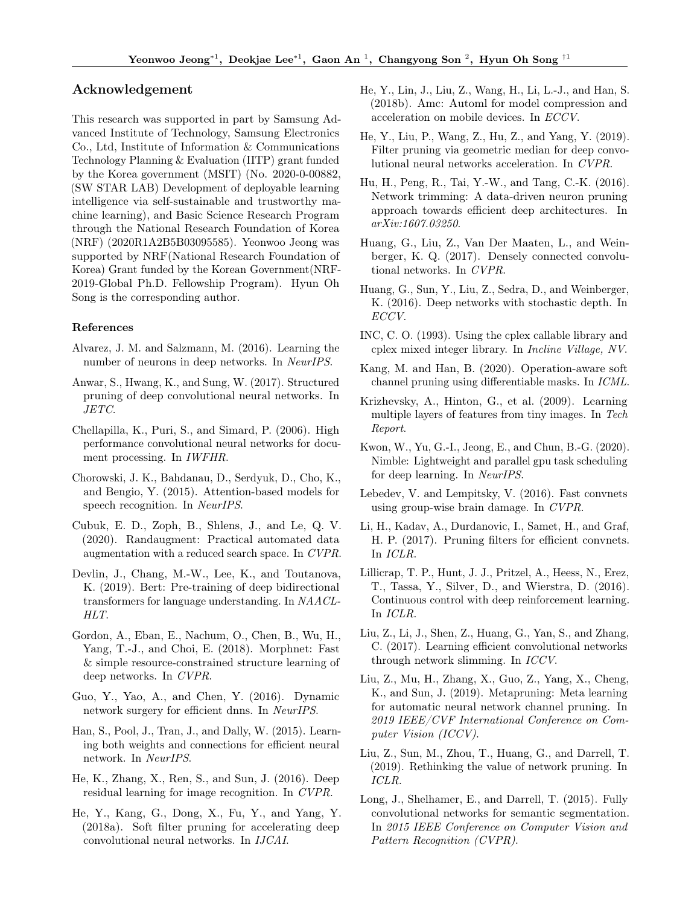# Acknowledgement

This research was supported in part by Samsung Advanced Institute of Technology, Samsung Electronics Co., Ltd, Institute of Information & Communications Technology Planning & Evaluation (IITP) grant funded by the Korea government (MSIT) (No. 2020-0-00882, (SW STAR LAB) Development of deployable learning intelligence via self-sustainable and trustworthy machine learning), and Basic Science Research Program through the National Research Foundation of Korea (NRF) (2020R1A2B5B03095585). Yeonwoo Jeong was supported by NRF(National Research Foundation of Korea) Grant funded by the Korean Government(NRF-2019-Global Ph.D. Fellowship Program). Hyun Oh Song is the corresponding author.

#### References

- <span id="page-8-13"></span>Alvarez, J. M. and Salzmann, M. (2016). Learning the number of neurons in deep networks. In NeurIPS.
- <span id="page-8-18"></span>Anwar, S., Hwang, K., and Sung, W. (2017). Structured pruning of deep convolutional neural networks. In JETC.
- <span id="page-8-19"></span>Chellapilla, K., Puri, S., and Simard, P. (2006). High performance convolutional neural networks for document processing. In IWFHR.
- <span id="page-8-0"></span>Chorowski, J. K., Bahdanau, D., Serdyuk, D., Cho, K., and Bengio, Y. (2015). Attention-based models for speech recognition. In NeurIPS.
- <span id="page-8-22"></span>Cubuk, E. D., Zoph, B., Shlens, J., and Le, Q. V. (2020). Randaugment: Practical automated data augmentation with a reduced search space. In CVPR.
- <span id="page-8-1"></span>Devlin, J., Chang, M.-W., Lee, K., and Toutanova, K. (2019). Bert: Pre-training of deep bidirectional transformers for language understanding. In NAACL-HLT.
- <span id="page-8-14"></span>Gordon, A., Eban, E., Nachum, O., Chen, B., Wu, H., Yang, T.-J., and Choi, E. (2018). Morphnet: Fast & simple resource-constrained structure learning of deep networks. In CVPR.
- <span id="page-8-3"></span>Guo, Y., Yao, A., and Chen, Y. (2016). Dynamic network surgery for efficient dnns. In NeurIPS.
- <span id="page-8-2"></span>Han, S., Pool, J., Tran, J., and Dally, W. (2015). Learning both weights and connections for efficient neural network. In NeurIPS.
- <span id="page-8-9"></span>He, K., Zhang, X., Ren, S., and Sun, J. (2016). Deep residual learning for image recognition. In CVPR.
- <span id="page-8-6"></span>He, Y., Kang, G., Dong, X., Fu, Y., and Yang, Y. (2018a). Soft filter pruning for accelerating deep convolutional neural networks. In IJCAI.
- <span id="page-8-20"></span>He, Y., Lin, J., Liu, Z., Wang, H., Li, L.-J., and Han, S. (2018b). Amc: Automl for model compression and acceleration on mobile devices. In ECCV.
- <span id="page-8-5"></span>He, Y., Liu, P., Wang, Z., Hu, Z., and Yang, Y. (2019). Filter pruning via geometric median for deep convolutional neural networks acceleration. In CVPR.
- <span id="page-8-16"></span>Hu, H., Peng, R., Tai, Y.-W., and Tang, C.-K. (2016). Network trimming: A data-driven neuron pruning approach towards efficient deep architectures. In arXiv:1607.03250.
- <span id="page-8-10"></span>Huang, G., Liu, Z., Van Der Maaten, L., and Weinberger, K. Q. (2017). Densely connected convolutional networks. In CVPR.
- <span id="page-8-23"></span>Huang, G., Sun, Y., Liu, Z., Sedra, D., and Weinberger, K. (2016). Deep networks with stochastic depth. In ECCV.
- <span id="page-8-11"></span>INC, C. O. (1993). Using the cplex callable library and cplex mixed integer library. In Incline Village, NV.
- <span id="page-8-15"></span>Kang, M. and Han, B. (2020). Operation-aware soft channel pruning using differentiable masks. In ICML.
- <span id="page-8-21"></span>Krizhevsky, A., Hinton, G., et al. (2009). Learning multiple layers of features from tiny images. In Tech Report.
- <span id="page-8-8"></span>Kwon, W., Yu, G.-I., Jeong, E., and Chun, B.-G. (2020). Nimble: Lightweight and parallel gpu task scheduling for deep learning. In NeurIPS.
- <span id="page-8-17"></span>Lebedev, V. and Lempitsky, V. (2016). Fast convnets using group-wise brain damage. In CVPR.
- <span id="page-8-4"></span>Li, H., Kadav, A., Durdanovic, I., Samet, H., and Graf, H. P. (2017). Pruning filters for efficient convnets. In ICLR.
- <span id="page-8-25"></span>Lillicrap, T. P., Hunt, J. J., Pritzel, A., Heess, N., Erez, T., Tassa, Y., Silver, D., and Wierstra, D. (2016). Continuous control with deep reinforcement learning. In ICLR.
- <span id="page-8-7"></span>Liu, Z., Li, J., Shen, Z., Huang, G., Yan, S., and Zhang, C. (2017). Learning efficient convolutional networks through network slimming. In ICCV.
- <span id="page-8-24"></span>Liu, Z., Mu, H., Zhang, X., Guo, Z., Yang, X., Cheng, K., and Sun, J. (2019). Metapruning: Meta learning for automatic neural network channel pruning. In 2019 IEEE/CVF International Conference on Computer Vision (ICCV).
- <span id="page-8-12"></span>Liu, Z., Sun, M., Zhou, T., Huang, G., and Darrell, T. (2019). Rethinking the value of network pruning. In ICLR.
- <span id="page-8-26"></span>Long, J., Shelhamer, E., and Darrell, T. (2015). Fully convolutional networks for semantic segmentation. In 2015 IEEE Conference on Computer Vision and Pattern Recognition (CVPR).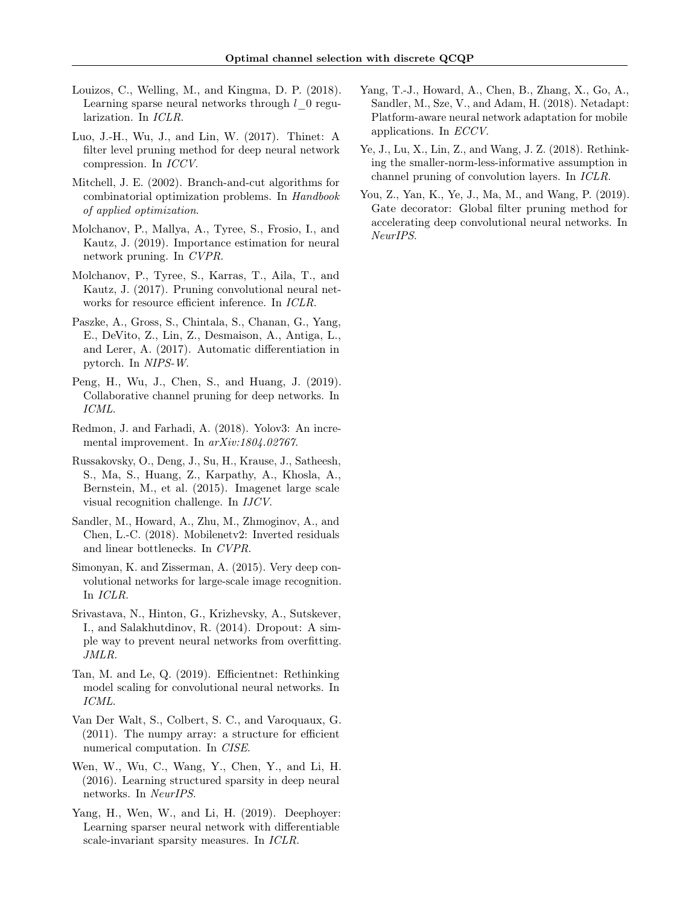- <span id="page-9-11"></span>Louizos, C., Welling, M., and Kingma, D. P. (2018). Learning sparse neural networks through  $l_0$  regularization. In ICLR.
- <span id="page-9-2"></span>Luo, J.-H., Wu, J., and Lin, W. (2017). Thinet: A filter level pruning method for deep neural network compression. In ICCV.
- <span id="page-9-9"></span>Mitchell, J. E. (2002). Branch-and-cut algorithms for combinatorial optimization problems. In Handbook of applied optimization.
- <span id="page-9-8"></span>Molchanov, P., Mallya, A., Tyree, S., Frosio, I., and Kautz, J. (2019). Importance estimation for neural network pruning. In CVPR.
- <span id="page-9-7"></span>Molchanov, P., Tyree, S., Karras, T., Aila, T., and Kautz, J. (2017). Pruning convolutional neural networks for resource efficient inference. In ICLR.
- <span id="page-9-17"></span>Paszke, A., Gross, S., Chintala, S., Chanan, G., Yang, E., DeVito, Z., Lin, Z., Desmaison, A., Antiga, L., and Lerer, A. (2017). Automatic differentiation in pytorch. In NIPS-W.
- <span id="page-9-12"></span>Peng, H., Wu, J., Chen, S., and Huang, J. (2019). Collaborative channel pruning for deep networks. In ICML.
- <span id="page-9-0"></span>Redmon, J. and Farhadi, A. (2018). Yolov3: An incremental improvement. In arXiv:1804.02767.
- <span id="page-9-16"></span>Russakovsky, O., Deng, J., Su, H., Krause, J., Satheesh, S., Ma, S., Huang, Z., Karpathy, A., Khosla, A., Bernstein, M., et al. (2015). Imagenet large scale visual recognition challenge. In IJCV.
- <span id="page-9-5"></span>Sandler, M., Howard, A., Zhu, M., Zhmoginov, A., and Chen, L.-C. (2018). Mobilenetv2: Inverted residuals and linear bottlenecks. In CVPR.
- <span id="page-9-14"></span>Simonyan, K. and Zisserman, A. (2015). Very deep convolutional networks for large-scale image recognition. In ICLR.
- <span id="page-9-18"></span>Srivastava, N., Hinton, G., Krizhevsky, A., Sutskever, I., and Salakhutdinov, R. (2014). Dropout: A simple way to prevent neural networks from overfitting. JMLR.
- <span id="page-9-6"></span>Tan, M. and Le, Q. (2019). Efficientnet: Rethinking model scaling for convolutional neural networks. In ICML.
- <span id="page-9-3"></span>Van Der Walt, S., Colbert, S. C., and Varoquaux, G. (2011). The numpy array: a structure for efficient numerical computation. In CISE.
- <span id="page-9-1"></span>Wen, W., Wu, C., Wang, Y., Chen, Y., and Li, H. (2016). Learning structured sparsity in deep neural networks. In NeurIPS.
- <span id="page-9-10"></span>Yang, H., Wen, W., and Li, H. (2019). Deephoyer: Learning sparser neural network with differentiable scale-invariant sparsity measures. In ICLR.
- <span id="page-9-13"></span>Yang, T.-J., Howard, A., Chen, B., Zhang, X., Go, A., Sandler, M., Sze, V., and Adam, H. (2018). Netadapt: Platform-aware neural network adaptation for mobile applications. In ECCV.
- <span id="page-9-15"></span>Ye, J., Lu, X., Lin, Z., and Wang, J. Z. (2018). Rethinking the smaller-norm-less-informative assumption in channel pruning of convolution layers. In ICLR.
- <span id="page-9-4"></span>You, Z., Yan, K., Ye, J., Ma, M., and Wang, P. (2019). Gate decorator: Global filter pruning method for accelerating deep convolutional neural networks. In NeurIPS.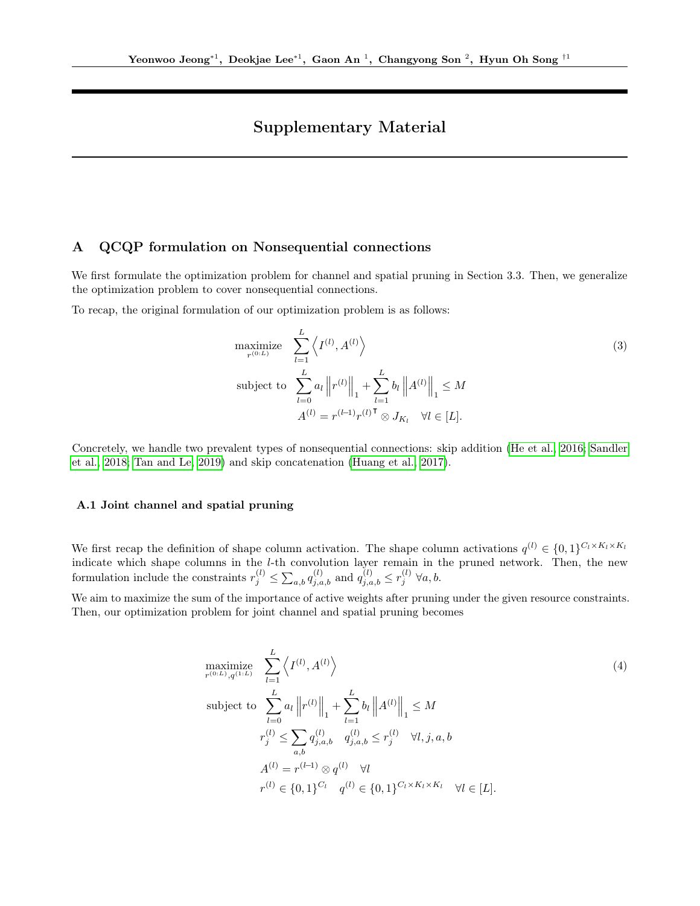# Supplementary Material

# A QCQP formulation on Nonsequential connections

We first formulate the optimization problem for channel and spatial pruning in Section 3.3. Then, we generalize the optimization problem to cover nonsequential connections.

To recap, the original formulation of our optimization problem is as follows:

<span id="page-10-0"></span>maximize 
$$
\sum_{i=1}^{L} \left\langle I^{(l)}, A^{(l)} \right\rangle
$$
  
\nsubject to 
$$
\sum_{l=0}^{L} a_l \|r^{(l)}\|_1 + \sum_{l=1}^{L} b_l \|A^{(l)}\|_1 \leq M
$$

$$
A^{(l)} = r^{(l-1)} r^{(l) \mathsf{T}} \otimes J_{K_l} \quad \forall l \in [L].
$$
\n(3)

Concretely, we handle two prevalent types of nonsequential connections: skip addition [\(He et al., 2016;](#page-8-9) [Sandler](#page-9-5) [et al., 2018;](#page-9-5) [Tan and Le, 2019\)](#page-9-6) and skip concatenation [\(Huang et al., 2017\)](#page-8-10).

# A.1 Joint channel and spatial pruning

We first recap the definition of shape column activation. The shape column activations  $q^{(l)} \in \{0,1\}^{C_l \times K_l \times K_l}$ indicate which shape columns in the l-th convolution layer remain in the pruned network. Then, the new formulation include the constraints  $r_j^{(l)} \le \sum_{a,b} q_{j,a,b}^{(l)}$  and  $q_{j,a,b}^{(l)} \le r_j^{(l)} \; \forall a,b$ .

We aim to maximize the sum of the importance of active weights after pruning under the given resource constraints. Then, our optimization problem for joint channel and spatial pruning becomes

<span id="page-10-1"></span>maximize 
$$
\sum_{r^{(0:L)}, q^{(1:L)}}^{L} \left\langle I^{(l)}, A^{(l)} \right\rangle
$$
  
\nsubject to 
$$
\sum_{l=0}^{L} a_l \|r^{(l)}\|_1 + \sum_{l=1}^{L} b_l \|A^{(l)}\|_1 \leq M
$$
  
\n
$$
r_j^{(l)} \leq \sum_{a,b} q_{j,a,b}^{(l)} \quad q_{j,a,b}^{(l)} \leq r_j^{(l)} \quad \forall l, j, a, b
$$
  
\n
$$
A^{(l)} = r^{(l-1)} \otimes q^{(l)} \quad \forall l
$$
  
\n
$$
r^{(l)} \in \{0, 1\}^{C_l} \quad q^{(l)} \in \{0, 1\}^{C_l \times K_l \times K_l} \quad \forall l \in [L].
$$
\n(4)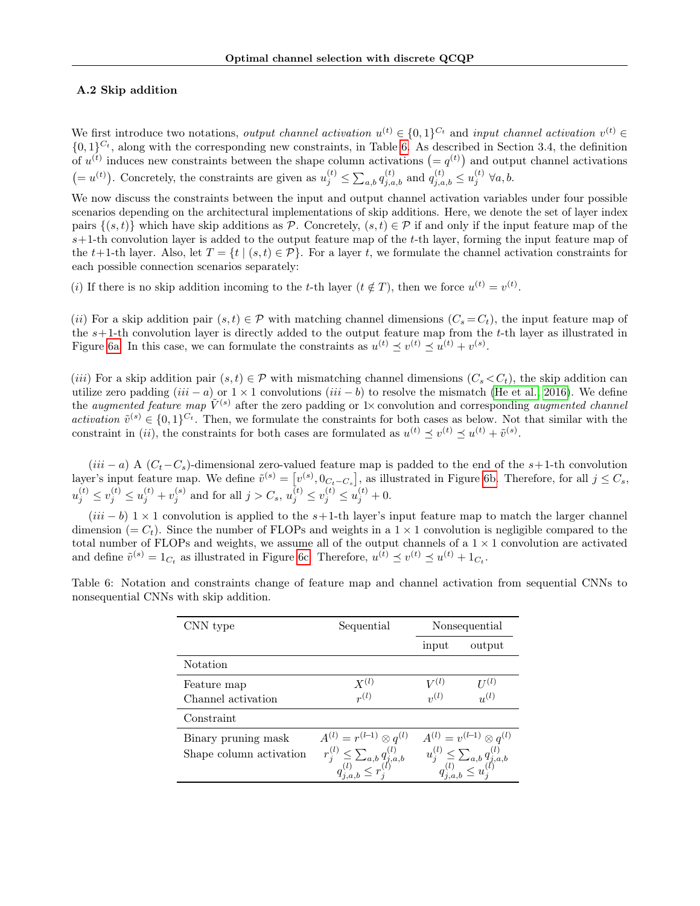### A.2 Skip addition

We first introduce two notations, *output channel activation*  $u^{(t)} \in \{0,1\}^{C_t}$  and *input channel activation*  $v^{(t)} \in$  $\{0,1\}^{C_t}$ , along with the corresponding new constraints, in Table [6.](#page-11-0) As described in Section 3.4, the definition of  $u^{(t)}$  induces new constraints between the shape column activations  $(= q^{(t)})$  and output channel activations  $(=u^{(t)})$ . Concretely, the constraints are given as  $u_j^{(t)} \n\t\leq \sum_{a,b} q_{j,a,b}^{(t)}$  and  $q_{j,a,b}^{(t)} \leq u_j^{(t)} \,\forall a,b$ .

We now discuss the constraints between the input and output channel activation variables under four possible scenarios depending on the architectural implementations of skip additions. Here, we denote the set of layer index pairs  $\{(s,t)\}\$  which have skip additions as P. Concretely,  $(s,t)\in\mathcal{P}$  if and only if the input feature map of the  $s+1$ -th convolution layer is added to the output feature map of the t-th layer, forming the input feature map of the t+1-th layer. Also, let  $T = \{t \mid (s,t) \in \mathcal{P}\}\.$  For a layer t, we formulate the channel activation constraints for each possible connection scenarios separately:

(i) If there is no skip addition incoming to the t-th layer  $(t \notin T)$ , then we force  $u^{(t)} = v^{(t)}$ .

(ii) For a skip addition pair  $(s, t) \in \mathcal{P}$  with matching channel dimensions  $(C_s = C_t)$ , the input feature map of the  $s+1$ -th convolution layer is directly added to the output feature map from the  $t$ -th layer as illustrated in Figure [6a.](#page-12-0) In this case, we can formulate the constraints as  $u^{(t)} \preceq v^{(t)} \preceq u^{(t)} + v^{(s)}$ .

(iii) For a skip addition pair  $(s,t) \in \mathcal{P}$  with mismatching channel dimensions  $(C_s \lt C_t)$ , the skip addition can utilize zero padding  $(iii - a)$  or  $1 \times 1$  convolutions  $(iii - b)$  to resolve the mismatch [\(He et al., 2016\)](#page-8-9). We define the *augmented feature map*  $\tilde{V}^{(s)}$  after the zero padding or 1× convolution and corresponding *augmented channel* activation  $\tilde{v}^{(s)} \in \{0,1\}^{C_t}$ . Then, we formulate the constraints for both cases as below. Not that similar with the constraint in (*ii*), the constraints for both cases are formulated as  $u^{(t)} \preceq v^{(t)} \preceq u^{(t)} + \tilde{v}^{(s)}$ .

 $(iii - a)$  A  $(C_t - C_s)$ -dimensional zero-valued feature map is padded to the end of the s+1-th convolution layer's input feature map. We define  $\tilde{v}^{(s)} = [v^{(s)}, 0_{C_t-C_s}]$ , as illustrated in Figure [6b.](#page-12-0) Therefore, for all  $j \leq C_s$ ,  $u_j^{(t)} \le v_j^{(t)} \le u_j^{(t)} + v_j^{(s)}$  and for all  $j > C_s$ ,  $u_j^{(t)} \le v_j^{(t)} \le u_j^{(t)} + 0$ .

 $(iii - b)$  1 × 1 convolution is applied to the s+1-th layer's input feature map to match the larger channel dimension (=  $C_t$ ). Since the number of FLOPs and weights in a 1  $\times$  1 convolution is negligible compared to the total number of FLOPs and weights, we assume all of the output channels of a  $1 \times 1$  convolution are activated and define  $\tilde{v}^{(s)} = 1_{C_t}$  as illustrated in Figure [6c.](#page-12-0) Therefore,  $u^{(t)} \preceq v^{(t)} \preceq u^{(t)} + 1_{C_t}$ .

| CNN type                                       | Sequential                                                                                                               |                                                                                                                          | Nonsequential                  |
|------------------------------------------------|--------------------------------------------------------------------------------------------------------------------------|--------------------------------------------------------------------------------------------------------------------------|--------------------------------|
|                                                |                                                                                                                          | input                                                                                                                    | output                         |
| Notation                                       |                                                                                                                          |                                                                                                                          |                                |
| Feature map<br>Channel activation              | $X^{(l)}$<br>$r^{(l)}$                                                                                                   | $V^{(l)}$<br>$\mathfrak{g}_2(l)$                                                                                         | $U^{(l)}$<br>$\overline{u}(l)$ |
| Constraint                                     |                                                                                                                          |                                                                                                                          |                                |
| Binary pruning mask<br>Shape column activation | $A^{(l)} = r^{(l-1)} \otimes q^{(l)}$<br>$r_j^{(l)} \leq \sum_{a,b} q_{j,a,b}^{(l)}$<br>$q_{i,a,b}^{(l)} \leq r_j^{(l)}$ | $A^{(l)} = v^{(l-1)} \otimes q^{(l)}$<br>$u_j^{(l)} \leq \sum_{a,b} q_{j,a,b}^{(l)}$<br>$q_{j,a,b}^{(l)} \leq u_j^{(l)}$ |                                |

<span id="page-11-0"></span>Table 6: Notation and constraints change of feature map and channel activation from sequential CNNs to nonsequential CNNs with skip addition.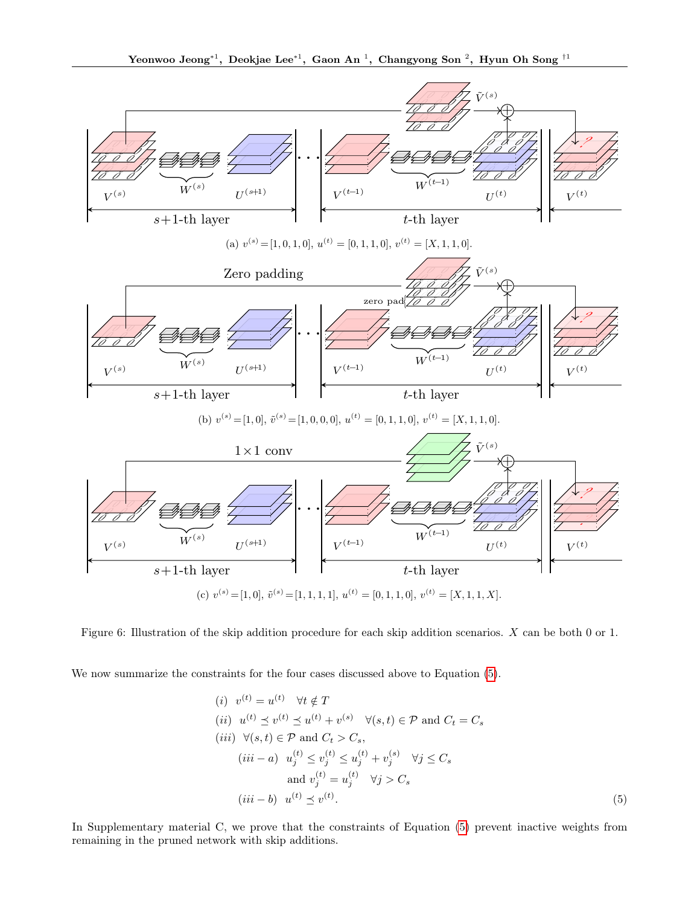<span id="page-12-0"></span>

Figure 6: Illustration of the skip addition procedure for each skip addition scenarios. X can be both 0 or 1.

We now summarize the constraints for the four cases discussed above to Equation  $(5)$ .

<span id="page-12-1"></span>(i) 
$$
v^{(t)} = u^{(t)}
$$
  $\forall t \notin T$   
\n(ii)  $u^{(t)} \preceq v^{(t)} \preceq u^{(t)} + v^{(s)}$   $\forall (s, t) \in \mathcal{P}$  and  $C_t = C_s$   
\n(iii)  $\forall (s, t) \in \mathcal{P}$  and  $C_t > C_s$ ,  
\n(iii - a)  $u_j^{(t)} \le v_j^{(t)} \le u_j^{(t)} + v_j^{(s)}$   $\forall j \le C_s$   
\nand  $v_j^{(t)} = u_j^{(t)}$   $\forall j > C_s$   
\n(iii - b)  $u^{(t)} \preceq v^{(t)}$ .  
\n(5)

In Supplementary material C, we prove that the constraints of Equation [\(5\)](#page-12-1) prevent inactive weights from remaining in the pruned network with skip additions.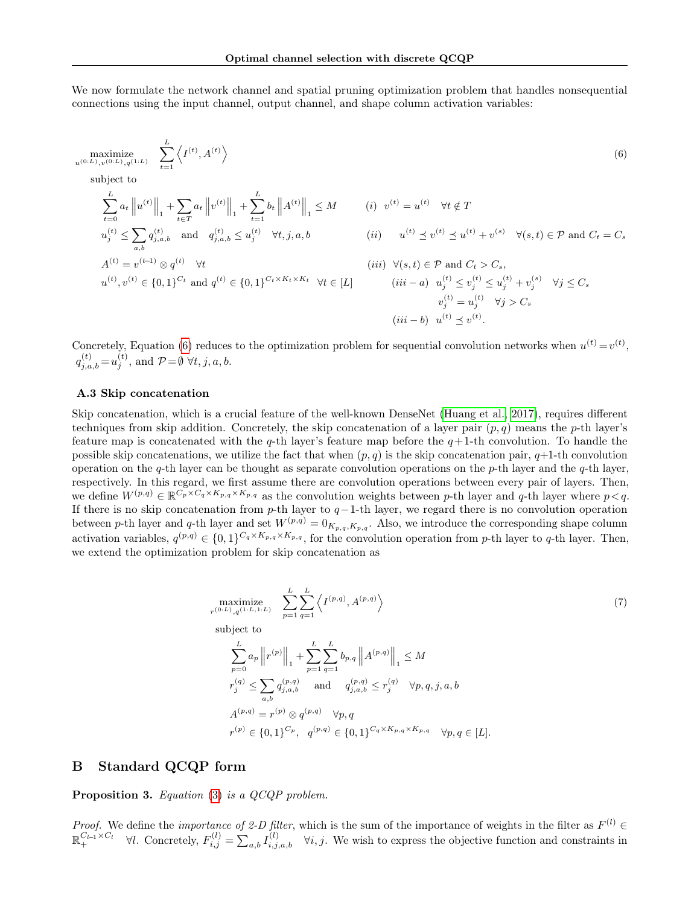We now formulate the network channel and spatial pruning optimization problem that handles nonsequential connections using the input channel, output channel, and shape column activation variables:

<span id="page-13-0"></span>
$$
\begin{aligned}\n\text{maximize} & \sum_{t=0}^{L} \left\langle I^{(t)}, A^{(t)} \right\rangle \\
\text{subject to} & \sum_{t=0}^{L} a_t \left\| u^{(t)} \right\|_1 + \sum_{t \in T} a_t \left\| v^{(t)} \right\|_1 + \sum_{t=1}^{L} b_t \left\| A^{(t)} \right\|_1 \leq M \\
u_j^{(t)} &\leq \sum_{a,b} q_{j,a,b}^{(t)} \quad \text{and} \quad q_{j,a,b}^{(t)} \leq u_j^{(t)} \quad \forall t, j, a, b \\
A^{(t)} &= v^{(t-1)} \otimes q^{(t)} \quad \forall t \\
u^{(t)}, v^{(t)} \in \{0, 1\}^{C_t} \text{ and } q^{(t)} \in \{0, 1\}^{C_t \times K_t \times K_t} \quad \forall t \in [L] \\
u^{(t)} &\quad \text{(iii)} \quad u^{(t)} \leq v^{(t)} \leq u^{(t)} + v^{(s)} \quad \forall (s, t) \in \mathcal{P} \text{ and } C_t = C_s \\
u^{(t)}, v^{(t)} \in \{0, 1\}^{C_t} \text{ and } q^{(t)} \in \{0, 1\}^{C_t \times K_t \times K_t} \quad \forall t \in [L] \\
u^{(t)} &\quad \text{(iii)} \quad u^{(t)} \leq v_j^{(t)} \leq u_j^{(t)} + v_j^{(s)} \quad \forall j \leq C_s \\
u^{(t)} &\quad \forall j > C_s \\
u^{(t)} &\leq v^{(t)} \leq u_j^{(t)} \quad \forall j > C_s \\
u^{(t)} &\leq v^{(t)} \leq u_j^{(t)} \quad \forall j > C_s\n\end{aligned}
$$

Concretely, Equation [\(6\)](#page-13-0) reduces to the optimization problem for sequential convolution networks when  $u^{(t)} = v^{(t)}$ ,  $q_{j,a,b}^{(t)} = u_j^{(t)}$ , and  $\mathcal{P} = \emptyset \,\,\forall t, j, a, b$ .

#### A.3 Skip concatenation

Skip concatenation, which is a crucial feature of the well-known DenseNet [\(Huang et al., 2017\)](#page-8-10), requires different techniques from skip addition. Concretely, the skip concatenation of a layer pair  $(p, q)$  means the p-th layer's feature map is concatenated with the q-th layer's feature map before the  $q+1$ -th convolution. To handle the possible skip concatenations, we utilize the fact that when  $(p, q)$  is the skip concatenation pair,  $q+1$ -th convolution operation on the q-th layer can be thought as separate convolution operations on the  $p$ -th layer and the  $q$ -th layer, respectively. In this regard, we first assume there are convolution operations between every pair of layers. Then, we define  $W^{(p,q)} \in \mathbb{R}^{\overline{C_p} \times C_q \times K_{p,q} \times K_{p,q}}$  as the convolution weights between p-th layer and q-th layer where  $p < q$ . If there is no skip concatenation from p-th layer to  $q-1$ -th layer, we regard there is no convolution operation between p-th layer and q-th layer and set  $W^{(p,q)} = 0_{K_{p,q},K_{p,q}}$ . Also, we introduce the corresponding shape column activation variables,  $q^{(p,q)} \in \{0,1\}^{C_q \times K_{p,q} \times K_{p,q}}$ , for the convolution operation from p-th layer to q-th layer. Then, we extend the optimization problem for skip concatenation as

$$
\begin{aligned}\n\underset{r^{(0:L)}, q^{(1:L,1:L)}}{\text{maximize}} \quad & \sum_{p=1}^{L} \sum_{q=1}^{L} \left\langle I^{(p,q)}, A^{(p,q)} \right\rangle \\
\text{subject to} \\
& \sum_{p=0}^{L} a_p \left\| r^{(p)} \right\|_1 + \sum_{p=1}^{L} \sum_{q=1}^{L} b_{p,q} \left\| A^{(p,q)} \right\|_1 \leq M \\
r_j^{(q)} &\leq \sum_{a,b} q_{j,a,b}^{(p,q)} \quad \text{and} \quad q_{j,a,b}^{(p,q)} \leq r_j^{(q)} \quad \forall p,q,j,a,b \\
A^{(p,q)} &= r^{(p)} \otimes q^{(p,q)} \quad \forall p,q \\
r^{(p)} \in \{0,1\}^{C_p}, \quad q^{(p,q)} \in \{0,1\}^{C_q \times K_{p,q} \times K_{p,q}} \quad \forall p,q \in [L].\n\end{aligned} \tag{7}
$$

# B Standard QCQP form

Proposition 3. Equation [\(3\)](#page-10-0) is a QCQP problem.

*Proof.* We define the *importance of 2-D filter*, which is the sum of the importance of weights in the filter as  $F^{(l)}$   $\in$  $\mathbb{R}_+^{C_{l-1} \times C_l}$   $\forall l$ . Concretely,  $F_{i,j}^{(l)} = \sum_{a,b} I_{i,j,a,b}^{(l)}$   $\forall i, j$ . We wish to express the objective function and constraints in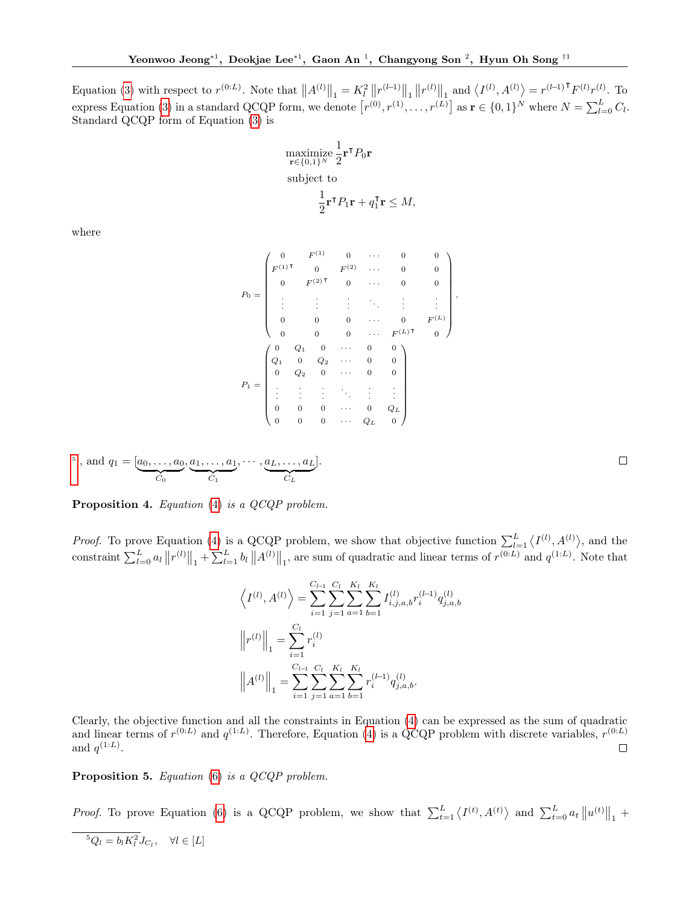Equation [\(3\)](#page-10-0) with respect to  $r^{(0:L)}$ . Note that  $||A^{(l)}||_1 = K_l^2 ||r^{(l-1)}||_1 ||r^{(l)}||_1$  and  $\langle I^{(l)}, A^{(l)} \rangle = r^{(l-1)T} F^{(l)} r^{(l)}$ . To express Equation [\(3\)](#page-10-0) in a standard QCQP form, we denote  $[r^{(0)}, r^{(1)}, \ldots, r^{(L)}]$  as  $\mathbf{r} \in \{0, 1\}^N$  where  $N = \sum_{l=0}^L C_l$ . Standard QCQP form of Equation [\(3\)](#page-10-0) is

$$
\begin{aligned}\n\underset{\mathbf{r}\in\{0,1\}^N}{\text{maximize}} \frac{1}{2} \mathbf{r}^\mathsf{T} P_0 \mathbf{r} \\
\text{subject to} \\
\frac{1}{2} \mathbf{r}^\mathsf{T} P_1 \mathbf{r} + q_1^\mathsf{T} \mathbf{r} \leq M,\n\end{aligned}
$$

where

$$
P_0 = \begin{pmatrix} 0 & F^{(1)} & 0 & \cdots & 0 & 0 \\ F^{(1)\mathsf{T}} & 0 & F^{(2)} & \cdots & 0 & 0 \\ 0 & F^{(2)\mathsf{T}} & 0 & \cdots & 0 & 0 \\ \vdots & \vdots & \vdots & \ddots & \vdots & \vdots \\ 0 & 0 & 0 & \cdots & 0 & F^{(L)} \\ 0 & 0 & 0 & \cdots & F^{(L)\mathsf{T}} & 0 \end{pmatrix},
$$

$$
P_1 = \begin{pmatrix} 0 & Q_1 & 0 & \cdots & 0 & 0 \\ Q_1 & 0 & Q_2 & \cdots & 0 & 0 \\ 0 & Q_2 & 0 & \cdots & 0 & 0 \\ \vdots & \vdots & \vdots & \ddots & \vdots & \vdots \\ 0 & 0 & 0 & \cdots & Q_L & 0 \end{pmatrix}
$$

<sup>5</sup>, and 
$$
q_1 = [a_0, \ldots, a_0, a_1, \ldots, a_1, \cdots, a_L, \ldots, a_L].
$$

Proposition 4. Equation [\(4\)](#page-10-1) is a QCQP problem.

*Proof.* To prove Equation [\(4\)](#page-10-1) is a QCQP problem, we show that objective function  $\sum_{l=1}^{L} \langle I^{(l)}, A^{(l)} \rangle$ , and the constraint  $\sum_{l=0}^{L} a_l \|r^{(l)}\|_1 + \sum_{l=1}^{L} b_l \|A^{(l)}\|_1$ , are sum of quadratic and linear terms of  $r^{(0:L)}$  and  $q^{(1:L)}$ . Note that

$$
\langle I^{(l)}, A^{(l)} \rangle = \sum_{i=1}^{C_{l-1}} \sum_{j=1}^{C_l} \sum_{a=1}^{K_l} \sum_{b=1}^{K_l} I_{i,j,a,b}^{(l)} r_i^{(l-1)} q_{j,a,b}^{(l)}
$$

$$
\left\| r^{(l)} \right\|_1 = \sum_{i=1}^{C_l} r_i^{(l)}
$$

$$
\left\| A^{(l)} \right\|_1 = \sum_{i=1}^{C_{l-1}} \sum_{j=1}^{C_l} \sum_{a=1}^{K_l} \sum_{b=1}^{K_l} r_i^{(l-1)} q_{j,a,b}^{(l)}.
$$

Clearly, the objective function and all the constraints in Equation [\(4\)](#page-10-1) can be expressed as the sum of quadratic and linear terms of  $r^{(0:L)}$  and  $q^{(1:L)}$ . Therefore, Equation [\(4\)](#page-10-1) is a QCQP problem with discrete variables,  $r^{(0:L)}$ and  $q^{(1:L)}$ .  $\Box$ 

Proposition 5. Equation [\(6\)](#page-13-0) is a QCQP problem.

*Proof.* To prove Equation [\(6\)](#page-13-0) is a QCQP problem, we show that  $\sum_{t=1}^{L} \langle I^{(t)}, A^{(t)} \rangle$  and  $\sum_{t=0}^{L} a_t ||u^{(t)}||_1$  +

<span id="page-14-0"></span>
$$
{}^{5}Q_{l} = b_{l}K_{l}^{2}J_{C_{l}}, \quad \forall l \in [L]
$$

 $\Box$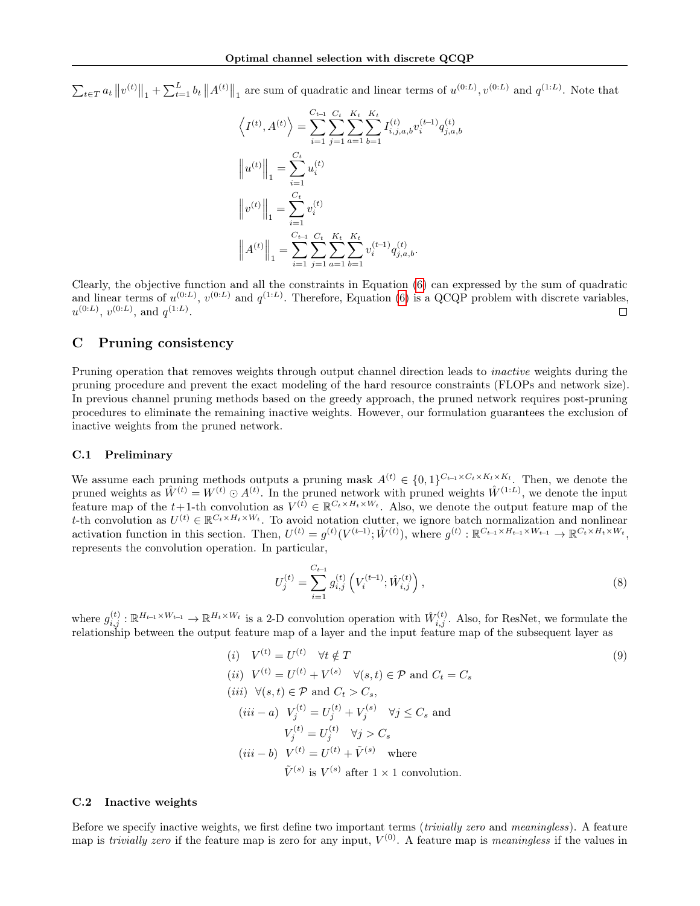$\sum_{t\in T} a_t \|v^{(t)}\|_1 + \sum_{t=1}^L b_t \|A^{(t)}\|_1$  are sum of quadratic and linear terms of  $u^{(0:L)}$ ,  $v^{(0:L)}$  and  $q^{(1:L)}$ . Note that

$$
\left\langle I^{(t)}, A^{(t)} \right\rangle = \sum_{i=1}^{C_{t-1}} \sum_{j=1}^{C_t} \sum_{a=1}^{K_t} \sum_{b=1}^{K_t} I_{i,j,a,b}^{(t)} v_i^{(t-1)} q_{j,a,b}^{(t)}
$$

$$
\left\| u^{(t)} \right\|_1 = \sum_{i=1}^{C_t} u_i^{(t)}
$$

$$
\left\| v^{(t)} \right\|_1 = \sum_{i=1}^{C_t} v_i^{(t)}
$$

$$
\left\| A^{(t)} \right\|_1 = \sum_{i=1}^{C_{t-1}} \sum_{j=1}^{C_t} \sum_{a=1}^{K_t} \sum_{b=1}^{K_t} v_i^{(t-1)} q_{j,a,b}^{(t)}.
$$

Clearly, the objective function and all the constraints in Equation [\(6\)](#page-13-0) can expressed by the sum of quadratic and linear terms of  $u^{(0:L)}$ ,  $v^{(0:L)}$  and  $q^{(1:L)}$ . Therefore, Equation [\(6\)](#page-13-0) is a QCQP problem with discrete variables,  $u^{(0:L)}, v^{(0:L)}, \text{ and } q^{(1:L)}.$  $\Box$ 

# C Pruning consistency

Pruning operation that removes weights through output channel direction leads to *inactive* weights during the pruning procedure and prevent the exact modeling of the hard resource constraints (FLOPs and network size). In previous channel pruning methods based on the greedy approach, the pruned network requires post-pruning procedures to eliminate the remaining inactive weights. However, our formulation guarantees the exclusion of inactive weights from the pruned network.

#### C.1 Preliminary

We assume each pruning methods outputs a pruning mask  $A^{(t)} \in \{0,1\}^{C_{t-1} \times C_t \times K_l \times K_l}$ . Then, we denote the pruned weights as  $\hat{W}^{(t)} = W^{(t)} \odot A^{(t)}$ . In the pruned network with pruned weights  $\hat{W}^{(1:L)}$ , we denote the input feature map of the t+1-th convolution as  $V^{(t)} \in \mathbb{R}^{C_t \times H_t \times W_t}$ . Also, we denote the output feature map of the t-th convolution as  $U^{(t)} \in \mathbb{R}^{C_t \times H_t \times W_t}$ . To avoid notation clutter, we ignore batch normalization and nonlinear activation function in this section. Then,  $U^{(t)} = g^{(t)}(V^{(t-1)}; \hat{W}^{(t)})$ , where  $g^{(t)} : \mathbb{R}^{C_{t-1} \times H_{t-1} \times W_{t-1}} \to \mathbb{R}^{C_t \times H_t \times W_t}$ , represents the convolution operation. In particular,

<span id="page-15-1"></span><span id="page-15-0"></span>
$$
U_j^{(t)} = \sum_{i=1}^{C_{t-1}} g_{i,j}^{(t)} \left( V_i^{(t-1)}; \hat{W}_{i,j}^{(t)} \right), \tag{8}
$$

where  $g_{i,j}^{(t)} : \mathbb{R}^{H_{t-1} \times W_{t-1}} \to \mathbb{R}^{H_t \times W_t}$  is a 2-D convolution operation with  $\hat{W}_{i,j}^{(t)}$ . Also, for ResNet, we formulate the relationship between the output feature map of a layer and the input feature map of the subsequent layer as

(i) 
$$
V^{(t)} = U^{(t)}
$$
  $\forall t \notin T$   
\n(ii)  $V^{(t)} = U^{(t)} + V^{(s)}$   $\forall (s, t) \in \mathcal{P}$  and  $C_t = C_s$   
\n(iii)  $\forall (s, t) \in \mathcal{P}$  and  $C_t > C_s$ ,  
\n(iii - a)  $V_j^{(t)} = U_j^{(t)} + V_j^{(s)}$   $\forall j \le C_s$  and  
\n $V_j^{(t)} = U_j^{(t)}$   $\forall j > C_s$   
\n(iii - b)  $V^{(t)} = U^{(t)} + \tilde{V}^{(s)}$  where  
\n $\tilde{V}^{(s)}$  is  $V^{(s)}$  after  $1 \times 1$  convolution.

#### C.2 Inactive weights

Before we specify inactive weights, we first define two important terms (*trivially zero* and *meaningless*). A feature map is *trivially zero* if the feature map is zero for any input,  $V^{(0)}$ . A feature map is *meaningless* if the values in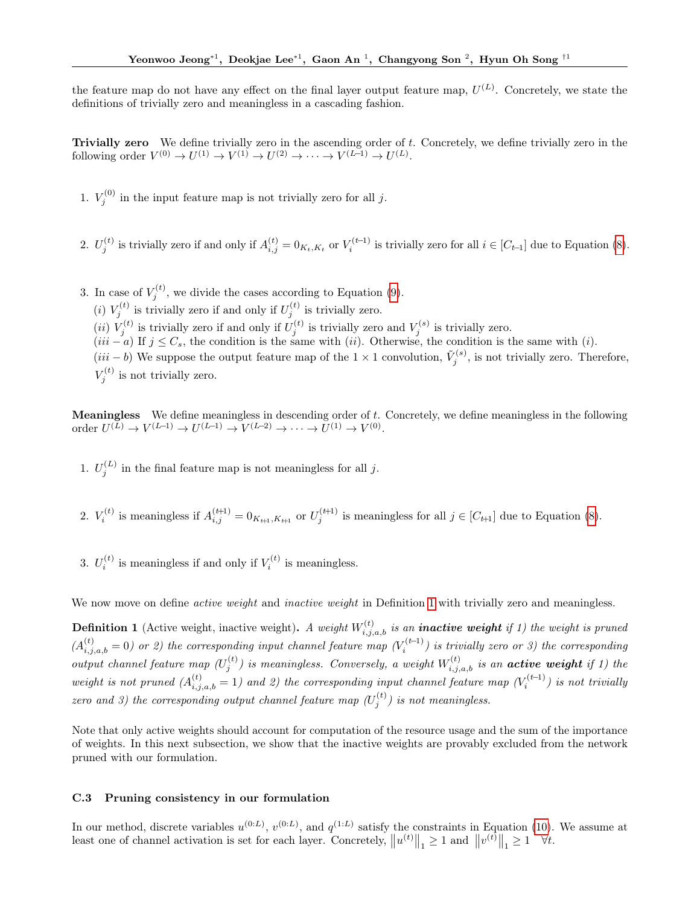the feature map do not have any effect on the final layer output feature map,  $U^{(L)}$ . Concretely, we state the definitions of trivially zero and meaningless in a cascading fashion.

**Trivially zero** We define trivially zero in the ascending order of  $t$ . Concretely, we define trivially zero in the following order  $V^{(0)} \to U^{(1)} \to V^{(1)} \to U^{(2)} \to \cdots \to V^{(L-1)} \to U^{(L)}$ .

1.  $V_j^{(0)}$  in the input feature map is not trivially zero for all j.

- 2.  $U_j^{(t)}$  is trivially zero if and only if  $A_{i,j}^{(t)} = 0_{K_t,K_t}$  or  $V_i^{(t-1)}$  is trivially zero for all  $i \in [C_{t-1}]$  due to Equation [\(8\)](#page-15-0).
- 3. In case of  $V_j^{(t)}$ , we divide the cases according to Equation [\(9\)](#page-15-1). (*i*)  $V_j^{(t)}$  is trivially zero if and only if  $U_j^{(t)}$  is trivially zero. (*ii*)  $V_j^{(t)}$  is trivially zero if and only if  $U_j^{(t)}$  is trivially zero and  $V_j^{(s)}$  is trivially zero.  $(iii - a)$  If  $j \leq C_s$ , the condition is the same with  $(ii)$ . Otherwise, the condition is the same with  $(i)$ .  $(iii - b)$  We suppose the output feature map of the 1 × 1 convolution,  $\tilde{V}_j^{(s)}$ , is not trivially zero. Therefore,  $V_j^{(t)}$  is not trivially zero.

**Meaningless** We define meaningless in descending order of  $t$ . Concretely, we define meaningless in the following order  $U^{(L)} \to V^{(L-1)} \to U^{(L-1)} \to V^{(L-2)} \to \cdots \to U^{(1)} \to V^{(0)}$ .

- 1.  $U_j^{(L)}$  in the final feature map is not meaningless for all j.
- 2.  $V_i^{(t)}$  is meaningless if  $A_{i,j}^{(t+1)} = 0_{K_{t+1}, K_{t+1}}$  or  $U_j^{(t+1)}$  is meaningless for all  $j \in [C_{t+1}]$  due to Equation [\(8\)](#page-15-0).
- 3.  $U_i^{(t)}$  is meaningless if and only if  $V_i^{(t)}$  is meaningless.

<span id="page-16-0"></span>We now move on define *active weight* and *inactive weight* in Definition [1](#page-16-0) with trivially zero and meaningless.

**Definition 1** (Active weight, inactive weight). A weight  $W_{i,j,a,b}^{(t)}$  is an **inactive weight** if 1) the weight is pruned  $(A_{i,j,a,b}^{(t)}=0)$  or 2) the corresponding input channel feature map  $(V_i^{(t-1)})$  is trivially zero or 3) the corresponding output channel feature map  $(U_j^{(t)})$  is meaningless. Conversely, a weight  $W_{i,j,a,b}^{(t)}$  is an **active weight** if 1) the weight is not pruned  $(A_{i,j,a,b}^{(t)} = 1)$  and 2) the corresponding input channel feature map  $(V_i^{(t-1)})$  is not trivially zero and 3) the corresponding output channel feature map  $(U_j^{(t)})$  is not meaningless.

Note that only active weights should account for computation of the resource usage and the sum of the importance of weights. In this next subsection, we show that the inactive weights are provably excluded from the network pruned with our formulation.

# C.3 Pruning consistency in our formulation

In our method, discrete variables  $u^{(0:L)}$ ,  $v^{(0:L)}$ , and  $q^{(1:L)}$  satisfy the constraints in Equation [\(10\)](#page-17-0). We assume at least one of channel activation is set for each layer. Concretely,  $||u^{(t)}||_1 \ge 1$  and  $||v^{(t)}||_1 \ge 1 \quad \forall t$ .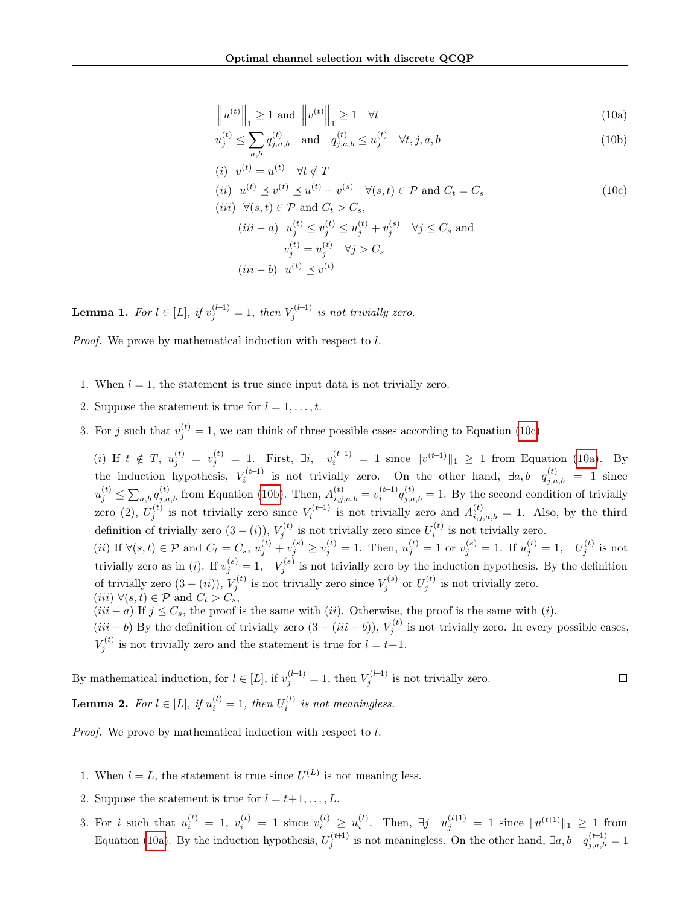<span id="page-17-2"></span><span id="page-17-1"></span>
$$
\left\| u^{(t)} \right\|_{1} \ge 1 \text{ and } \left\| v^{(t)} \right\|_{1} \ge 1 \quad \forall t \tag{10a}
$$

$$
u_j^{(t)} \le \sum_{a,b} q_{j,a,b}^{(t)} \quad \text{and} \quad q_{j,a,b}^{(t)} \le u_j^{(t)} \quad \forall t, j, a, b
$$
 (10b)

$$
(i) \t v^{(t)} = u^{(t)} \quad \forall t \notin T
$$

<span id="page-17-0"></span>
$$
(ii) \ \ u^{(t)} \preceq v^{(t)} \preceq u^{(t)} + v^{(s)} \quad \forall (s, t) \in \mathcal{P} \text{ and } C_t = C_s \tag{10c}
$$

(iii)  $\forall (s,t) \in \mathcal{P}$  and  $C_t > C_s$ ,  $(iii - a)$   $u_j^{(t)} \le v_j^{(t)} \le u_j^{(t)} + v_j^{(s)}$   $\forall j \le C_s$  and  $v_j^{(t)} = u_j^{(t)} \quad \forall j > C_s$  $(iii - b) \;\; u^{(t)} \preceq v^{(t)}$ 

<span id="page-17-3"></span>**Lemma 1.** For  $l \in [L]$ , if  $v_j^{(l-1)} = 1$ , then  $V_j^{(l-1)}$  is not trivially zero.

Proof. We prove by mathematical induction with respect to l.

- 1. When  $l = 1$ , the statement is true since input data is not trivially zero.
- 2. Suppose the statement is true for  $l = 1, \ldots, t$ .
- 3. For j such that  $v_j^{(t)} = 1$ , we can think of three possible cases according to Equation [\(10c\)](#page-17-0)

(i) If  $t \notin T$ ,  $u_j^{(t)} = v_j^{(t)} = 1$ . First,  $\exists i$ ,  $v_i^{(t-1)} = 1$  since  $||v^{(t-1)}||_1 \ge 1$  from Equation [\(10a\)](#page-17-1). By the induction hypothesis,  $V_i^{(t-1)}$  is not trivially zero. On the other hand,  $\exists a, b \quad q_{j,a,b}^{(t)} = 1$  since  $u_j^{(t)} \leq \sum_{a,b} q_{j,a,b}^{(t)}$  from Equation [\(10b\)](#page-17-2). Then,  $A_{i,j,a,b}^{(t)} = v_i^{(t-1)} q_{j,a,b}^{(t)} = 1$ . By the second condition of trivially zero (2),  $U_j^{(t)}$  is not trivially zero since  $V_i^{(t-1)}$  is not trivially zero and  $A_{i,j,a,b}^{(t)} = 1$ . Also, by the third definition of trivially zero  $(3 - (i))$ ,  $V_j^{(t)}$  is not trivially zero since  $U_i^{(t)}$  is not trivially zero. (*ii*) If  $\forall (s,t) \in \mathcal{P}$  and  $C_t = C_s$ ,  $u_j^{(t)} + v_j^{(s)} \ge v_j^{(t)} = 1$ . Then,  $u_j^{(t)} = 1$  or  $v_j^{(s)} = 1$ . If  $u_j^{(t)} = 1$ ,  $U_j^{(t)}$  is not trivially zero as in (*i*). If  $v_j^{(s)} = 1$ ,  $V_j^{(s)}$  is not trivially zero by the induction hypothesis. By the definition of trivially zero  $(3 - (ii))$ ,  $V_j^{(t)}$  is not trivially zero since  $V_j^{(s)}$  or  $U_j^{(t)}$  is not trivially zero.

(*iii*)  $\forall (s,t) \in \mathcal{P}$  and  $C_t > C_s$ ,

 $(iii - a)$  If  $j \leq C_s$ , the proof is the same with  $(ii)$ . Otherwise, the proof is the same with  $(i)$ .

 $(iii - b)$  By the definition of trivially zero  $(3 - (iii - b))$ ,  $V_j^{(t)}$  is not trivially zero. In every possible cases,  $V_j^{(t)}$  is not trivially zero and the statement is true for  $l = t+1$ .

<span id="page-17-4"></span>By mathematical induction, for  $l \in [L]$ , if  $v_j^{(l-1)} = 1$ , then  $V_j^{(l-1)}$  is not trivially zero.  $\Box$ **Lemma 2.** For  $l \in [L]$ , if  $u_i^{(l)} = 1$ , then  $U_i^{(l)}$  is not meaningless.

Proof. We prove by mathematical induction with respect to l.

- 1. When  $l = L$ , the statement is true since  $U^{(L)}$  is not meaning less.
- 2. Suppose the statement is true for  $l = t+1, \ldots, L$ .
- 3. For i such that  $u_i^{(t)} = 1$ ,  $v_i^{(t)} = 1$  since  $v_i^{(t)} \ge u_i^{(t)}$ . Then,  $\exists j \quad u_j^{(t+1)} = 1$  since  $||u^{(t+1)}||_1 \ge 1$  from Equation [\(10a\)](#page-17-1). By the induction hypothesis,  $U_j^{(t+1)}$  is not meaningless. On the other hand,  $\exists a, b \quad q_{j,a,b}^{(t+1)} = 1$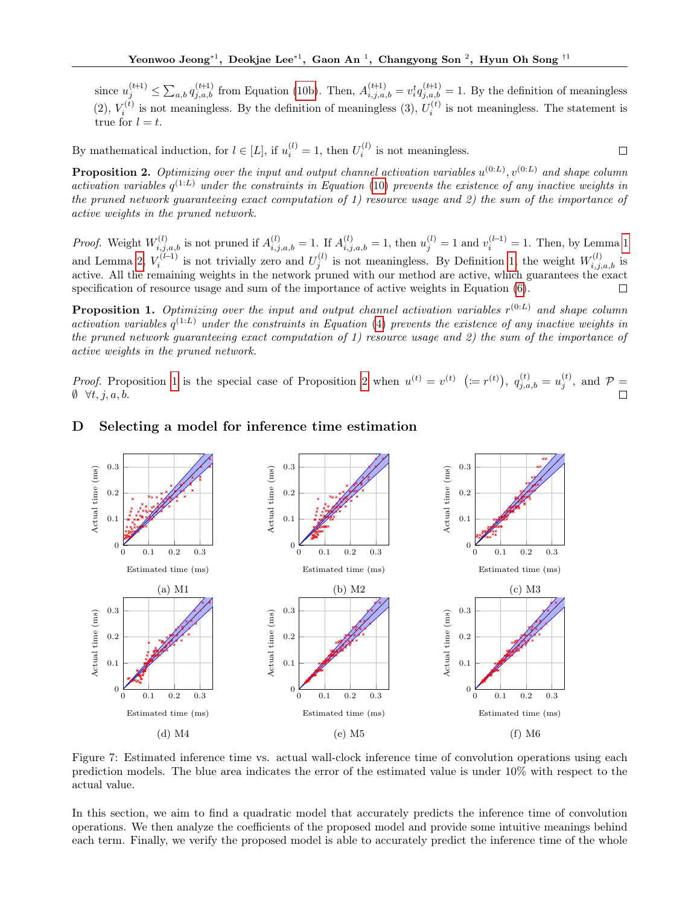since  $u_j^{(t+1)} \leq \sum_{a,b} q_{j,a,b}^{(t+1)}$  from Equation [\(10b\)](#page-17-2). Then,  $A_{i,j,a,b}^{(t+1)} = v_i^t q_{j,a,b}^{(t+1)} = 1$ . By the definition of meaningless (2),  $V_i^{(t)}$  is not meaningless. By the definition of meaningless (3),  $U_i^{(t)}$  is not meaningless. The statement is true for  $l = t$ .

 $\Box$ 

By mathematical induction, for  $l \in [L]$ , if  $u_i^{(l)} = 1$ , then  $U_i^{(l)}$  is not meaningless.

<span id="page-18-2"></span>**Proposition 2.** Optimizing over the input and output channel activation variables  $u^{(0:L)}$ ,  $v^{(0:L)}$  and shape column activation variables  $q^{(1:L)}$  under the constraints in Equation [\(10\)](#page-17-0) prevents the existence of any inactive weights in the pruned network guaranteeing exact computation of 1) resource usage and 2) the sum of the importance of active weights in the pruned network.

*Proof.* Weight  $W_{i,j,a,b}^{(l)}$  is not pruned if  $A_{i,j,a,b}^{(l)} = 1$  $A_{i,j,a,b}^{(l)} = 1$ . If  $A_{i,j,a,b}^{(l)} = 1$ , then  $u_j^{(l)} = 1$  and  $v_i^{(l-1)} = 1$ . Then, by Lemma 1 and Lemma [2,](#page-17-4)  $V_i^{(l-1)}$  is not trivially zero and  $U_j^{(l)}$  is not meaningless. By Definition [1,](#page-16-0) the weight  $W_{i,j,a,b}^{(l)}$  is active. All the remaining weights in the network pruned with our method are active, which guarantees the exact specification of resource usage and sum of the importance of active weights in Equation [\(6\)](#page-13-0).  $\Box$ 

<span id="page-18-1"></span>**Proposition 1.** Optimizing over the input and output channel activation variables  $r^{(0:L)}$  and shape column activation variables  $q^{(1:L)}$  under the constraints in Equation [\(4\)](#page-10-1) prevents the existence of any inactive weights in the pruned network guaranteeing exact computation of 1) resource usage and 2) the sum of the importance of active weights in the pruned network.

*Proof.* Proposition [1](#page-18-1) is the special case of Proposition [2](#page-18-2) when  $u^{(t)} = v^{(t)}$  ( $:= r^{(t)}$ ),  $q_{j,a,b}^{(t)} = u_j^{(t)}$ , and  $\mathcal{P} =$  $\emptyset \forall t, j, a, b.$  $\Box$ 

#### <span id="page-18-0"></span>0.3 0.3 0.3 Actual time (ms) Actual time (ms) Actual time (ms) Actual time (ms) Actual time (ms) Actual time (ms) 0.2 0.2 0.2 0.1 0.1 0.1 0 0 0 0 0.1 0.2 0.3 0 0.1 0.2 0.3 0 0.1 0.2 0.3 Estimated time (ms) Estimated time (ms) Estimated time (ms) (a) M1 (c) M3 (b) M2 0.3 0.3 0.3 Actual time (ms) Actual time (ms) Actual time (ms) Actual time (ms) Actual time (ms) Actual time (ms) 0.2 0.2 0.2 0.1 0.1 0.1  $\theta$  $\theta$  $\overline{0}$ 0 0.1 0.2 0.3 0 0.1 0.2 0.3 0 0.1 0.2 0.3 Estimated time (ms) Estimated time (ms) Estimated time (ms) (d) M4 (e) M5 (f) M6

# D Selecting a model for inference time estimation

Figure 7: Estimated inference time vs. actual wall-clock inference time of convolution operations using each prediction models. The blue area indicates the error of the estimated value is under 10% with respect to the actual value.

In this section, we aim to find a quadratic model that accurately predicts the inference time of convolution operations. We then analyze the coefficients of the proposed model and provide some intuitive meanings behind each term. Finally, we verify the proposed model is able to accurately predict the inference time of the whole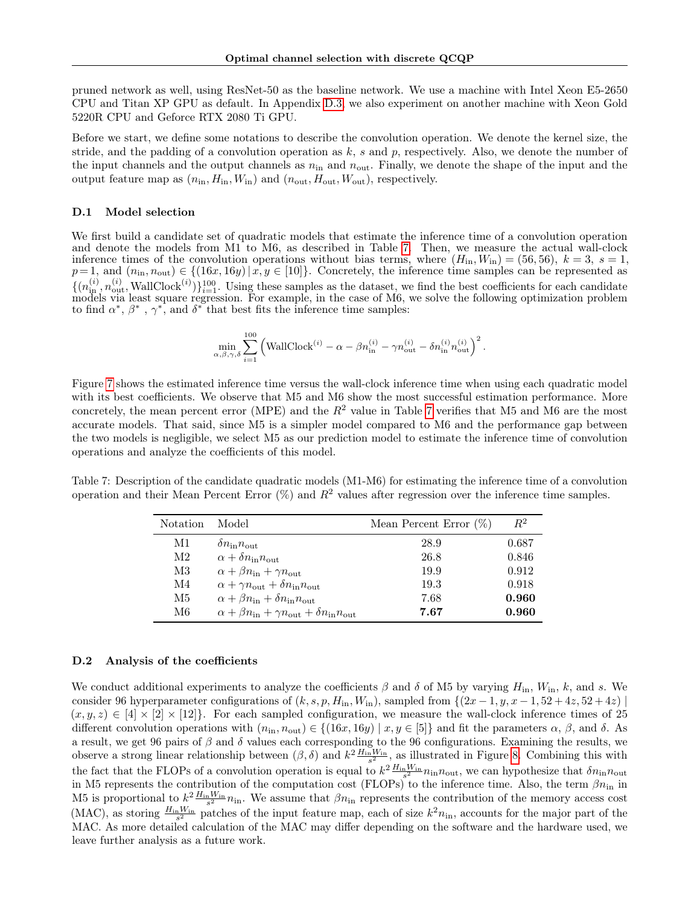pruned network as well, using ResNet-50 as the baseline network. We use a machine with Intel Xeon E5-2650 CPU and Titan XP GPU as default. In Appendix [D.3,](#page-20-0) we also experiment on another machine with Xeon Gold 5220R CPU and Geforce RTX 2080 Ti GPU.

Before we start, we define some notations to describe the convolution operation. We denote the kernel size, the stride, and the padding of a convolution operation as  $k$ , s and p, respectively. Also, we denote the number of the input channels and the output channels as  $n_{\text{in}}$  and  $n_{\text{out}}$ . Finally, we denote the shape of the input and the output feature map as  $(n_{\text{in}}, H_{\text{in}}, W_{\text{in}})$  and  $(n_{\text{out}}, H_{\text{out}}, W_{\text{out}})$ , respectively.

#### D.1 Model selection

We first build a candidate set of quadratic models that estimate the inference time of a convolution operation and denote the models from M1 to M6, as described in Table [7.](#page-19-0) Then, we measure the actual wall-clock inference times of the convolution operations without bias terms, where  $(H_{in}, W_{in}) = (56, 56), k = 3, s = 1,$  $p=1$ , and  $(n_{\text{in}}, n_{\text{out}}) \in \{(16x, 16y) \mid x, y \in [10]\}.$  Concretely, the inference time samples can be represented as  $\{(n_{\rm in}^{(i)}, n_{\rm out}^{(i)}, \text{WallClock}^{(i)})\}_{i=1}^{100}$ . Using these samples as the dataset, we find the best coefficients for each candidate models via least square regression. For example, in the case of M6, we solve the following optimization problem to find  $\alpha^*, \beta^*, \gamma^*$ , and  $\delta^*$  that best fits the inference time samples:

$$
\min_{\alpha,\beta,\gamma,\delta} \sum_{i=1}^{100} \left( \mathrm{WallClock}^{(i)} - \alpha - \beta n_{\text{in}}^{(i)} - \gamma n_{\text{out}}^{(i)} - \delta n_{\text{in}}^{(i)} n_{\text{out}}^{(i)} \right)^2.
$$

Figure [7](#page-18-0) shows the estimated inference time versus the wall-clock inference time when using each quadratic model with its best coefficients. We observe that M5 and M6 show the most successful estimation performance. More concretely, the mean percent error (MPE) and the  $R^2$  value in Table [7](#page-19-0) verifies that M5 and M6 are the most accurate models. That said, since M5 is a simpler model compared to M6 and the performance gap between the two models is negligible, we select M5 as our prediction model to estimate the inference time of convolution operations and analyze the coefficients of this model.

<span id="page-19-0"></span>Table 7: Description of the candidate quadratic models (M1-M6) for estimating the inference time of a convolution operation and their Mean Percent Error  $(\%)$  and  $R^2$  values after regression over the inference time samples.

| Notation | Model                                                                            | Mean Percent Error $(\%)$ | $R^2$ |
|----------|----------------------------------------------------------------------------------|---------------------------|-------|
| M1       | $\delta n_{\rm in} n_{\rm out}$                                                  | 28.9                      | 0.687 |
| M2       | $\alpha + \delta n_{\rm in} n_{\rm out}$                                         | 26.8                      | 0.846 |
| M3       | $\alpha + \beta n_{\rm in} + \gamma n_{\rm out}$                                 | 19.9                      | 0.912 |
| M4       | $\alpha + \gamma n_{\text{out}} + \delta n_{\text{in}} n_{\text{out}}$           | 19.3                      | 0.918 |
| М5       | $\alpha + \beta n_{\rm in} + \delta n_{\rm in} n_{\rm out}$                      | 7.68                      | 0.960 |
| M6.      | $\alpha + \beta n_{\rm in} + \gamma n_{\rm out} + \delta n_{\rm in} n_{\rm out}$ | 7.67                      | 0.960 |

#### D.2 Analysis of the coefficients

We conduct additional experiments to analyze the coefficients  $\beta$  and  $\delta$  of M5 by varying  $H_{\text{in}}$ ,  $W_{\text{in}}$ ,  $k$ , and s. We consider 96 hyperparameter configurations of  $(k, s, p, H_{\text{in}}, W_{\text{in}})$ , sampled from  $\{(2x - 1, y, x - 1, 52 + 4z, 52 + 4z) \}$  $(x, y, z) \in [4] \times [2] \times [12]$ . For each sampled configuration, we measure the wall-clock inference times of 25 different convolution operations with  $(n_{\text{in}}, n_{\text{out}}) \in \{(16x, 16y) \mid x, y \in [5]\}$  and fit the parameters  $\alpha, \beta$ , and  $\delta$ . As a result, we get 96 pairs of  $\beta$  and  $\delta$  values each corresponding to the 96 configurations. Examining the results, we observe a strong linear relationship between  $(\beta, \delta)$  and  $k^2 \frac{H_{\text{in}} W_{\text{in}}}{s^2}$ , as illustrated in Figure [8.](#page-20-1) Combining this with the fact that the FLOPs of a convolution operation is equal to  $k^2 \frac{H_{\rm in} W_{\rm in}}{s^2} n_{\rm in} n_{\rm out}$ , we can hypothesize that  $\delta n_{\rm in} n_{\rm out}$ in M5 represents the contribution of the computation cost (FLOPs) to the inference time. Also, the term  $\beta n_{\rm in}$  in M5 is proportional to  $k^2 \frac{H_{\text{in}} W_{\text{in}}}{s^2} n_{\text{in}}$ . We assume that  $\beta n_{\text{in}}$  represents the contribution of the memory access cost (MAC), as storing  $\frac{H_{\text{in}}W_{\text{in}}}{s^2}$  patches of the input feature map, each of size  $k^2n_{\text{in}}$ , accounts for the major part of the MAC. As more detailed calculation of the MAC may differ depending on the software and the hardware used, we leave further analysis as a future work.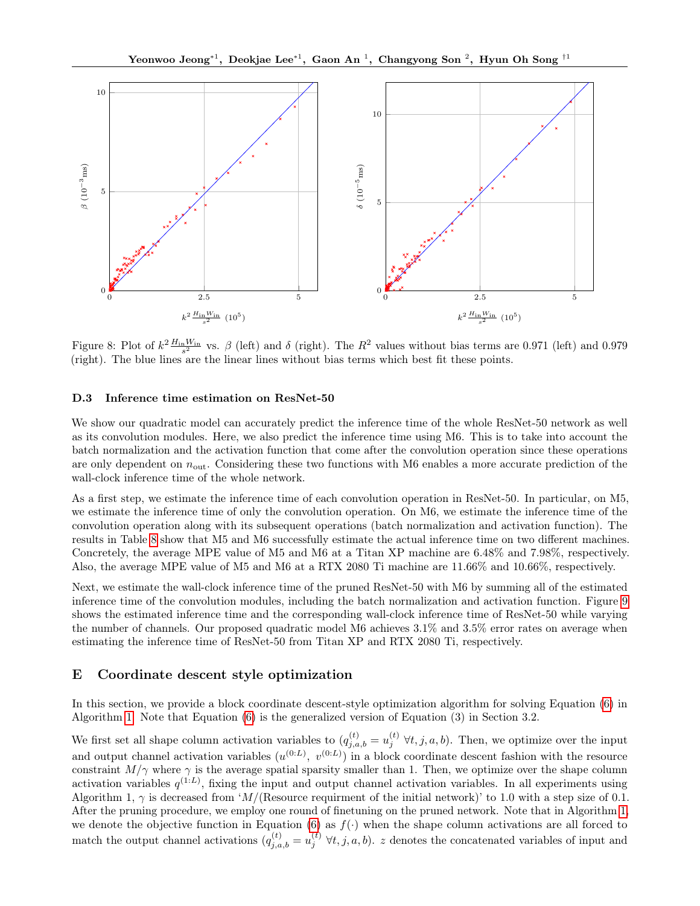<span id="page-20-1"></span>

Figure 8: Plot of  $k^2 \frac{H_{\text{in}} W_{\text{in}}}{s^2}$  vs.  $\beta$  (left) and  $\delta$  (right). The  $R^2$  values without bias terms are 0.971 (left) and 0.979 (right). The blue lines are the linear lines without bias terms which best fit these points.

#### <span id="page-20-0"></span>D.3 Inference time estimation on ResNet-50

We show our quadratic model can accurately predict the inference time of the whole ResNet-50 network as well as its convolution modules. Here, we also predict the inference time using M6. This is to take into account the batch normalization and the activation function that come after the convolution operation since these operations are only dependent on  $n_{\text{out}}$ . Considering these two functions with M6 enables a more accurate prediction of the wall-clock inference time of the whole network.

As a first step, we estimate the inference time of each convolution operation in ResNet-50. In particular, on M5, we estimate the inference time of only the convolution operation. On M6, we estimate the inference time of the convolution operation along with its subsequent operations (batch normalization and activation function). The results in Table [8](#page-21-0) show that M5 and M6 successfully estimate the actual inference time on two different machines. Concretely, the average MPE value of M5 and M6 at a Titan XP machine are 6.48% and 7.98%, respectively. Also, the average MPE value of M5 and M6 at a RTX 2080 Ti machine are 11.66% and 10.66%, respectively.

Next, we estimate the wall-clock inference time of the pruned ResNet-50 with M6 by summing all of the estimated inference time of the convolution modules, including the batch normalization and activation function. Figure [9](#page-22-0) shows the estimated inference time and the corresponding wall-clock inference time of ResNet-50 while varying the number of channels. Our proposed quadratic model M6 achieves 3.1% and 3.5% error rates on average when estimating the inference time of ResNet-50 from Titan XP and RTX 2080 Ti, respectively.

# E Coordinate descent style optimization

In this section, we provide a block coordinate descent-style optimization algorithm for solving Equation [\(6\)](#page-13-0) in Algorithm [1.](#page-21-1) Note that Equation [\(6\)](#page-13-0) is the generalized version of Equation (3) in Section 3.2.

We first set all shape column activation variables to  $(q_{j,a,b}^{(t)} = u_j^{(t)} \forall t, j, a, b)$ . Then, we optimize over the input and output channel activation variables  $(u^{(0:L)}, v^{(0:L)})$  in a block coordinate descent fashion with the resource constraint  $M/\gamma$  where  $\gamma$  is the average spatial sparsity smaller than 1. Then, we optimize over the shape column activation variables  $q^{(1:L)}$ , fixing the input and output channel activation variables. In all experiments using Algorithm 1,  $\gamma$  is decreased from 'M/(Resource requirment of the initial network)' to 1.0 with a step size of 0.1. After the pruning procedure, we employ one round of finetuning on the pruned network. Note that in Algorithm [1,](#page-21-1) we denote the objective function in Equation [\(6\)](#page-13-0) as  $f(\cdot)$  when the shape column activations are all forced to match the output channel activations  $(q_{j,a,b}^{(t)} = u_j^{(t)} \forall t, j, a, b)$ . z denotes the concatenated variables of input and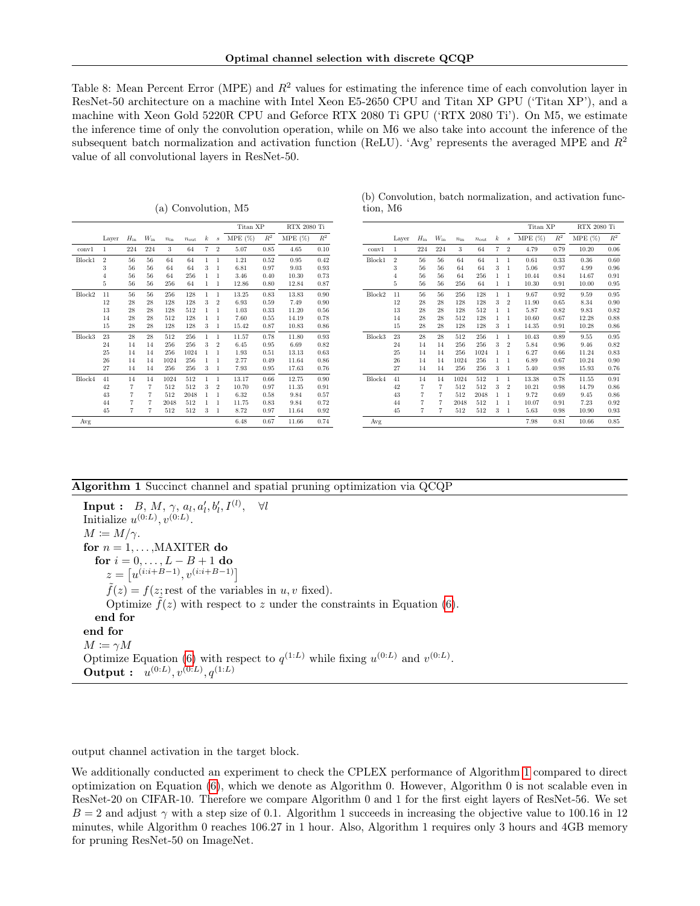<span id="page-21-0"></span>Table 8: Mean Percent Error (MPE) and  $R^2$  values for estimating the inference time of each convolution layer in ResNet-50 architecture on a machine with Intel Xeon E5-2650 CPU and Titan XP GPU ('Titan XP'), and a machine with Xeon Gold 5220R CPU and Geforce RTX 2080 Ti GPU ('RTX 2080 Ti'). On M5, we estimate the inference time of only the convolution operation, while on M6 we also take into account the inference of the subsequent batch normalization and activation function (ReLU). 'Avg' represents the averaged MPE and  $R^2$ value of all convolutional layers in ResNet-50.

|                    |                |                |                |              |                  |                |                  | Titan XP  |       | RTX 2080 Ti |       |
|--------------------|----------------|----------------|----------------|--------------|------------------|----------------|------------------|-----------|-------|-------------|-------|
|                    | Layer          | $H_{\rm in}$   | $W_{\rm in}$   | $n_{\rm in}$ | $n_{\text{out}}$ | k              | $\boldsymbol{s}$ | $MPE(\%)$ | $R^2$ | MPE(%)      | $R^2$ |
| conv1              | 1              | 224            | 224            | 3            | 64               | $\overline{7}$ | $\overline{2}$   | 5.07      | 0.85  | 4.65        | 0.10  |
| Block1             | $\overline{2}$ | 56             | 56             | 64           | 64               | 1              | 1                | 1.21      | 0.52  | 0.95        | 0.42  |
|                    | 3              | 56             | 56             | 64           | 64               | 3              | 1                | 6.81      | 0.97  | 9.03        | 0.93  |
|                    | $\overline{4}$ | 56             | 56             | 64           | 256              | 1              | 1                | 3.46      | 0.40  | 10.30       | 0.73  |
|                    | 5              | 56             | 56             | 256          | 64               | 1              | 1                | 12.86     | 0.80  | 12.84       | 0.87  |
| Block2             | 11             | 56             | 56             | 256          | 128              | 1              | $\mathbf{1}$     | 13.25     | 0.83  | 13.83       | 0.90  |
|                    | 12             | 28             | 28             | 128          | 128              | 3              | $\overline{2}$   | 6.93      | 0.59  | 7.49        | 0.90  |
|                    | 13             | 28             | 28             | 128          | 512              | 1              | 1                | 1.03      | 0.33  | 11.20       | 0.56  |
|                    | 14             | 28             | 28             | 512          | 128              | 1              | 1                | 7.60      | 0.55  | 14.19       | 0.78  |
|                    | 15             | 28             | 28             | 128          | 128              | 3              | 1                | 15.42     | 0.87  | 10.83       | 0.86  |
| Block <sub>3</sub> | 23             | 28             | 28             | 512          | 256              | 1              | 1                | 11.57     | 0.78  | 11.80       | 0.93  |
|                    | 24             | 14             | 14             | 256          | 256              | 3              | $\overline{2}$   | 6.45      | 0.95  | 6.69        | 0.82  |
|                    | 25             | 14             | 14             | 256          | 1024             | 1              | 1                | 1.93      | 0.51  | 13.13       | 0.63  |
|                    | 26             | 14             | 14             | 1024         | 256              | 1              | 1                | 2.77      | 0.49  | 11.64       | 0.86  |
|                    | 27             | 14             | 14             | 256          | 256              | 3              | 1                | 7.93      | 0.95  | 17.63       | 0.76  |
| Block4             | 41             | 14             | 14             | 1024         | 512              | 1              | 1                | 13.17     | 0.66  | 12.75       | 0.90  |
|                    | 42             | 7              | $\overline{7}$ | 512          | 512              | 3              | $\overline{2}$   | 10.70     | 0.97  | 11.35       | 0.91  |
|                    | 43             | $\overline{7}$ | $\overline{7}$ | 512          | 2048             | 1              | 1                | 6.32      | 0.58  | 9.84        | 0.57  |
|                    | 44             | $\overline{7}$ | $\overline{7}$ | 2048         | 512              | 1              | 1                | 11.75     | 0.83  | 9.84        | 0.72  |
|                    | 45             | 7              | $\overline{7}$ | 512          | 512              | 3              | 1                | 8.72      | 0.97  | 11.64       | 0.92  |
| Avg                |                |                |                |              |                  |                |                  | 6.48      | 0.67  | 11.66       | 0.74  |

(a) Convolution, M5

(b) Convolution, batch normalization, and activation function, M6

|                    |                |                |                |              |                  |                  |                  | Titan XP  |       | RTX 2080 Ti |       |
|--------------------|----------------|----------------|----------------|--------------|------------------|------------------|------------------|-----------|-------|-------------|-------|
|                    | Layer          | $H_{\rm in}$   | $W_{\rm in}$   | $n_{\rm in}$ | $n_{\text{out}}$ | $\boldsymbol{k}$ | $\boldsymbol{s}$ | $MPE(\%)$ | $R^2$ | MPE(%)      | $R^2$ |
| conv1              | 1              | 224            | 224            | 3            | 64               | $\overline{7}$   | $\overline{2}$   | 4.79      | 0.79  | 10.20       | 0.06  |
| Block1             | $\overline{2}$ | 56             | 56             | 64           | 64               | 1                | $\mathbf{1}$     | 0.61      | 0.33  | 0.36        | 0.60  |
|                    | 3              | 56             | 56             | 64           | 64               | 3                | 1                | 5.06      | 0.97  | 4.99        | 0.96  |
|                    | $\overline{4}$ | 56             | 56             | 64           | 256              | 1                | 1                | 10.44     | 0.84  | 14.67       | 0.91  |
|                    | 5              | 56             | 56             | 256          | 64               | 1                | 1                | 10.30     | 0.91  | 10.00       | 0.95  |
| Block2             | 11             | 56             | 56             | 256          | 128              | 1                | 1                | 9.67      | 0.92  | 9.59        | 0.95  |
|                    | 12             | 28             | 28             | 128          | 128              | 3                | $\overline{2}$   | 11.90     | 0.65  | 8.34        | 0.90  |
|                    | 13             | 28             | 28             | 128          | 512              | 1                | 1                | 5.87      | 0.82  | 9.83        | 0.82  |
|                    | 14             | 28             | 28             | 512          | 128              | 1                | 1                | 10.60     | 0.67  | 12.28       | 0.88  |
|                    | 15             | 28             | 28             | 128          | 128              | 3                | 1                | 14.35     | 0.91  | 10.28       | 0.86  |
| Block <sub>3</sub> | 23             | 28             | 28             | 512          | 256              | 1                | 1                | 10.43     | 0.89  | 9.55        | 0.95  |
|                    | 24             | 14             | 14             | 256          | 256              | 3                | $\overline{2}$   | 5.84      | 0.96  | 9.46        | 0.82  |
|                    | 25             | 14             | 14             | 256          | 1024             | 1                | 1                | 6.27      | 0.66  | 11.24       | 0.83  |
|                    | 26             | 14             | 14             | 1024         | 256              | 1                | 1                | 6.89      | 0.67  | 10.24       | 0.90  |
|                    | 27             | 14             | 14             | 256          | 256              | 3                | 1                | 5.40      | 0.98  | 15.93       | 0.76  |
| Block4             | 41             | 14             | 14             | 1024         | 512              | $\mathbf{1}$     | 1                | 13.38     | 0.78  | 11.55       | 0.91  |
|                    | 42             | $\overline{7}$ | $\overline{7}$ | 512          | 512              | 3                | $\overline{2}$   | 10.21     | 0.98  | 14.79       | 0.86  |
|                    | 43             | $\overline{7}$ | 7              | 512          | 2048             | 1                | 1                | 9.72      | 0.69  | 9.45        | 0.86  |
|                    | 44             | $\overline{7}$ | $\overline{7}$ | 2048         | 512              | 1                | 1                | 10.07     | 0.91  | 7.23        | 0.92  |
|                    | 45             | $\overline{7}$ | $\overline{7}$ | 512          | 512              | 3                | $\mathbf{1}$     | 5.63      | 0.98  | 10.90       | 0.93  |
| Avg                |                |                |                |              |                  |                  |                  | 7.98      | 0.81  | 10.66       | 0.85  |

#### Algorithm 1 Succinct channel and spatial pruning optimization via QCQP

 $\textbf{Input:} \quad B, \, M, \, \gamma, \, a_l, a'_l, b'_l, I^{(l)} \quad$  $\forall l$ Initialize  $u^{(0:L)}$ ,  $v^{(0:L)}$ .  $M \coloneqq M/\gamma$ . for  $n = 1, \ldots, \text{MAXITER}$  do for  $i = 0, ..., L - B + 1$  do  $z = [u^{(i:i+B-1)}, v^{(i:i+B-1)}]$  $\tilde{f}(z) = f(z; \text{rest of the variables in } u, v \text{ fixed}).$ Optimize  $\tilde{f}(z)$  with respect to z under the constraints in Equation [\(6\)](#page-13-0). end for end for  $M \coloneqq \gamma M$ Optimize Equation [\(6\)](#page-13-0) with respect to  $q^{(1:L)}$  while fixing  $u^{(0:L)}$  and  $v^{(0:L)}$ . **Output :**  $u^{(0:L)}, v^{(0:L)}, q^{(1:L)}$ 

<span id="page-21-1"></span>output channel activation in the target block.

We additionally conducted an experiment to check the CPLEX performance of Algorithm [1](#page-21-1) compared to direct optimization on Equation [\(6\)](#page-13-0), which we denote as Algorithm 0. However, Algorithm 0 is not scalable even in ResNet-20 on CIFAR-10. Therefore we compare Algorithm 0 and 1 for the first eight layers of ResNet-56. We set  $B = 2$  and adjust  $\gamma$  with a step size of 0.1. Algorithm 1 succeeds in increasing the objective value to 100.16 in 12 minutes, while Algorithm 0 reaches 106.27 in 1 hour. Also, Algorithm 1 requires only 3 hours and 4GB memory for pruning ResNet-50 on ImageNet.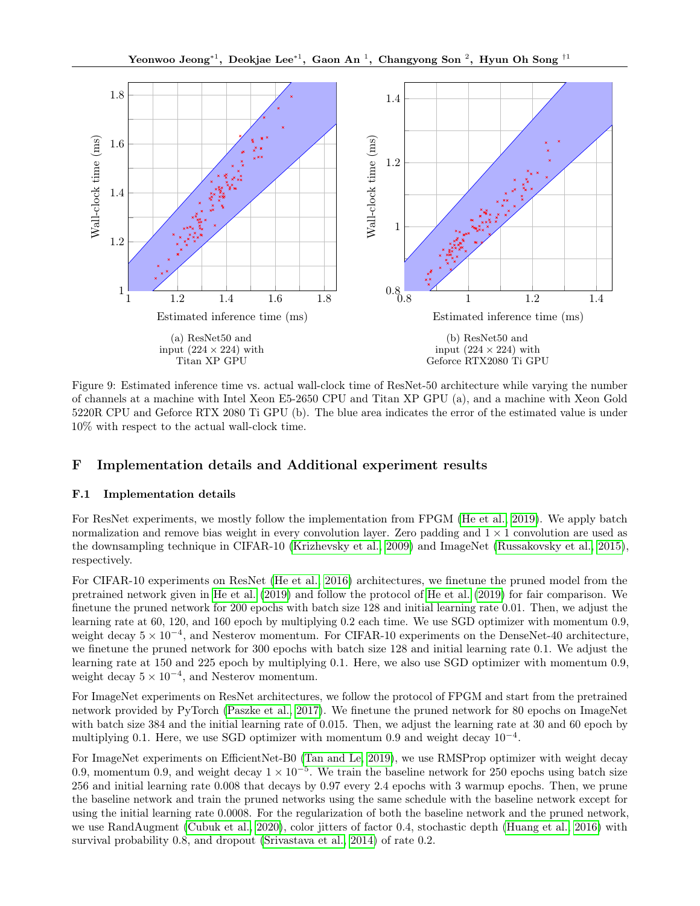<span id="page-22-0"></span>

Figure 9: Estimated inference time vs. actual wall-clock time of ResNet-50 architecture while varying the number of channels at a machine with Intel Xeon E5-2650 CPU and Titan XP GPU (a), and a machine with Xeon Gold 5220R CPU and Geforce RTX 2080 Ti GPU (b). The blue area indicates the error of the estimated value is under 10% with respect to the actual wall-clock time.

# F Implementation details and Additional experiment results

# F.1 Implementation details

For ResNet experiments, we mostly follow the implementation from FPGM [\(He et al., 2019\)](#page-8-5). We apply batch normalization and remove bias weight in every convolution layer. Zero padding and  $1 \times 1$  convolution are used as the downsampling technique in CIFAR-10 [\(Krizhevsky et al., 2009\)](#page-8-21) and ImageNet [\(Russakovsky et al., 2015\)](#page-9-16), respectively.

For CIFAR-10 experiments on ResNet [\(He et al., 2016\)](#page-8-9) architectures, we finetune the pruned model from the pretrained network given in [He et al.](#page-8-5) [\(2019\)](#page-8-5) and follow the protocol of [He et al.](#page-8-5) [\(2019\)](#page-8-5) for fair comparison. We finetune the pruned network for 200 epochs with batch size 128 and initial learning rate 0.01. Then, we adjust the learning rate at 60, 120, and 160 epoch by multiplying 0.2 each time. We use SGD optimizer with momentum 0.9, weight decay  $5 \times 10^{-4}$ , and Nesterov momentum. For CIFAR-10 experiments on the DenseNet-40 architecture, we finetune the pruned network for 300 epochs with batch size 128 and initial learning rate 0.1. We adjust the learning rate at 150 and 225 epoch by multiplying 0.1. Here, we also use SGD optimizer with momentum 0.9, weight decay  $5 \times 10^{-4}$ , and Nesterov momentum.

For ImageNet experiments on ResNet architectures, we follow the protocol of FPGM and start from the pretrained network provided by PyTorch [\(Paszke et al., 2017\)](#page-9-17). We finetune the pruned network for 80 epochs on ImageNet with batch size 384 and the initial learning rate of 0.015. Then, we adjust the learning rate at 30 and 60 epoch by multiplying 0.1. Here, we use SGD optimizer with momentum 0.9 and weight decay  $10^{-4}$ .

For ImageNet experiments on EfficientNet-B0 [\(Tan and Le, 2019\)](#page-9-6), we use RMSProp optimizer with weight decay 0.9, momentum 0.9, and weight decay  $1 \times 10^{-5}$ . We train the baseline network for 250 epochs using batch size 256 and initial learning rate 0.008 that decays by 0.97 every 2.4 epochs with 3 warmup epochs. Then, we prune the baseline network and train the pruned networks using the same schedule with the baseline network except for using the initial learning rate 0.0008. For the regularization of both the baseline network and the pruned network, we use RandAugment [\(Cubuk et al., 2020\)](#page-8-22), color jitters of factor 0.4, stochastic depth [\(Huang et al., 2016\)](#page-8-23) with survival probability 0.8, and dropout [\(Srivastava et al., 2014\)](#page-9-18) of rate 0.2.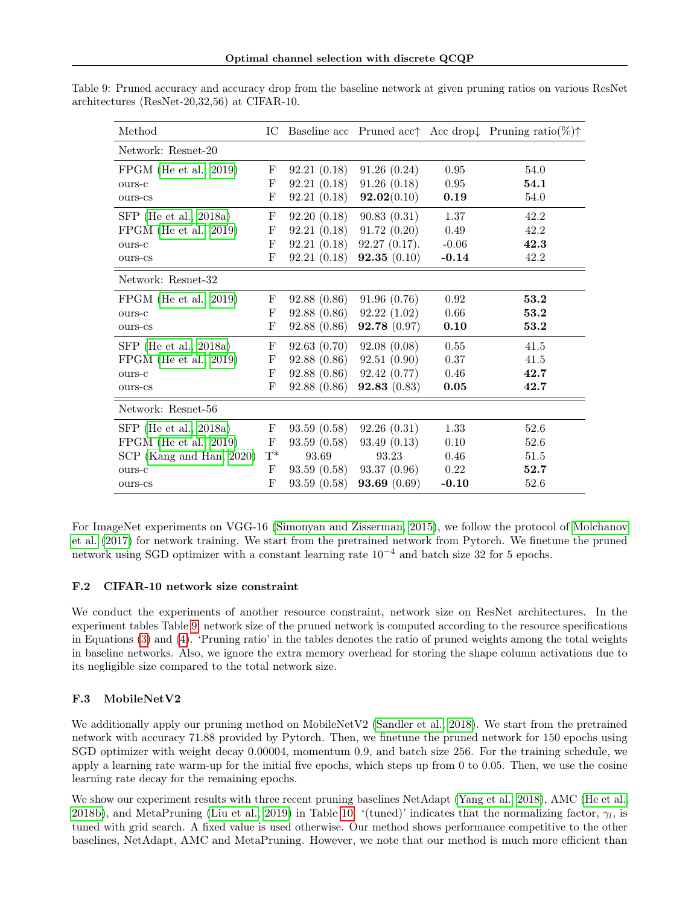| Method                   | IC             |             |                |         | Baseline acc Pruned acc Acc drop Pruning ratio(%) $\uparrow$ |
|--------------------------|----------------|-------------|----------------|---------|--------------------------------------------------------------|
| Network: Resnet-20       |                |             |                |         |                                                              |
| $FPGM$ (He et al., 2019) | F              | 92.21(0.18) | 91.26(0.24)    | 0.95    | 54.0                                                         |
| ours-c                   | F              | 92.21(0.18) | 91.26(0.18)    | 0.95    | 54.1                                                         |
| ours-cs                  | F              | 92.21(0.18) | 92.02(0.10)    | 0.19    | 54.0                                                         |
| $SFP$ (He et al., 2018a) | F              | 92.20(0.18) | 90.83(0.31)    | 1.37    | 42.2                                                         |
| $FPGM$ (He et al., 2019) | F              | 92.21(0.18) | 91.72(0.20)    | 0.49    | 42.2                                                         |
| ours-c                   | F              | 92.21(0.18) | 92.27(0.17).   | $-0.06$ | 42.3                                                         |
| ours-cs                  | F              | 92.21(0.18) | 92.35(0.10)    | $-0.14$ | 42.2                                                         |
| Network: Resnet-32       |                |             |                |         |                                                              |
| $FPGM$ (He et al., 2019) | F              | 92.88(0.86) | 91.96(0.76)    | 0.92    | 53.2                                                         |
| ours-c                   | F              | 92.88(0.86) | 92.22(1.02)    | 0.66    | 53.2                                                         |
| ours-cs                  | F              | 92.88(0.86) | 92.78 (0.97)   | 0.10    | 53.2                                                         |
| $SFP$ (He et al., 2018a) | F              | 92.63(0.70) | 92.08(0.08)    | 0.55    | 41.5                                                         |
| $FPGM$ (He et al., 2019) | F              | 92.88(0.86) | 92.51 (0.90)   | 0.37    | 41.5                                                         |
| ours-c                   | F              | 92.88(0.86) | 92.42 (0.77)   | 0.46    | 42.7                                                         |
| ours-cs                  | F              | 92.88(0.86) | 92.83(0.83)    | 0.05    | 42.7                                                         |
| Network: Resnet-56       |                |             |                |         |                                                              |
| $SFP$ (He et al., 2018a) | F              | 93.59(0.58) | 92.26(0.31)    | 1.33    | 52.6                                                         |
| $FPGM$ (He et al., 2019) | F              | 93.59(0.58) | 93.49(0.13)    | 0.10    | 52.6                                                         |
| SCP (Kang and Han, 2020) | $\mathrm{T}^*$ | 93.69       | 93.23          | 0.46    | 51.5                                                         |
| ours-c                   | F              | 93.59(0.58) | 93.37(0.96)    | 0.22    | 52.7                                                         |
| ours-cs                  | F              | 93.59(0.58) | 93.69 $(0.69)$ | $-0.10$ | 52.6                                                         |

<span id="page-23-0"></span>Table 9: Pruned accuracy and accuracy drop from the baseline network at given pruning ratios on various ResNet architectures (ResNet-20,32,56) at CIFAR-10.

For ImageNet experiments on VGG-16 [\(Simonyan and Zisserman, 2015\)](#page-9-14), we follow the protocol of [Molchanov](#page-9-7) [et al.](#page-9-7) [\(2017\)](#page-9-7) for network training. We start from the pretrained network from Pytorch. We finetune the pruned network using SGD optimizer with a constant learning rate  $10^{-4}$  and batch size 32 for 5 epochs.

# F.2 CIFAR-10 network size constraint

We conduct the experiments of another resource constraint, network size on ResNet architectures. In the experiment tables Table [9,](#page-23-0) network size of the pruned network is computed according to the resource specifications in Equations [\(3\)](#page-10-0) and [\(4\)](#page-10-1). 'Pruning ratio' in the tables denotes the ratio of pruned weights among the total weights in baseline networks. Also, we ignore the extra memory overhead for storing the shape column activations due to its negligible size compared to the total network size.

# F.3 MobileNetV2

We additionally apply our pruning method on MobileNetV2 [\(Sandler et al., 2018\)](#page-9-5). We start from the pretrained network with accuracy 71.88 provided by Pytorch. Then, we finetune the pruned network for 150 epochs using SGD optimizer with weight decay 0.00004, momentum 0.9, and batch size 256. For the training schedule, we apply a learning rate warm-up for the initial five epochs, which steps up from 0 to 0.05. Then, we use the cosine learning rate decay for the remaining epochs.

We show our experiment results with three recent pruning baselines NetAdapt [\(Yang et al., 2018\)](#page-9-13), AMC [\(He et al.,](#page-8-20) [2018b\)](#page-8-20), and MetaPruning [\(Liu et al., 2019\)](#page-8-24) in Table [10.](#page-24-0) '(tuned)' indicates that the normalizing factor,  $\gamma_l$ , is tuned with grid search. A fixed value is used otherwise. Our method shows performance competitive to the other baselines, NetAdapt, AMC and MetaPruning. However, we note that our method is much more efficient than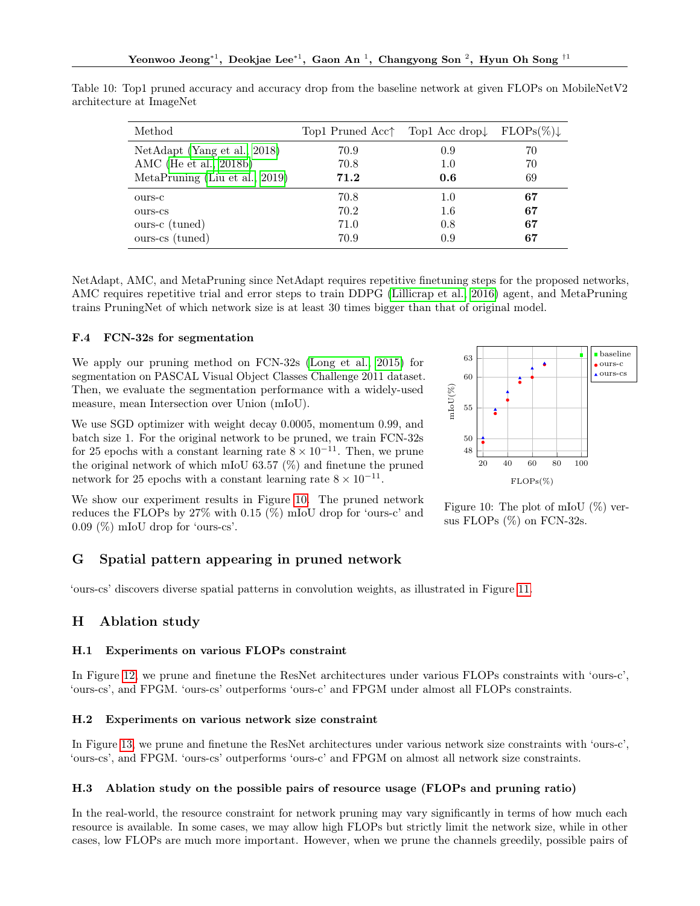| Method                         | Top1 Pruned Acc <sup><math>\uparrow</math></sup> Top1 Acc drop $\downarrow$ FLOPs(%) |     |    |
|--------------------------------|--------------------------------------------------------------------------------------|-----|----|
| NetAdapt (Yang et al., 2018)   | 70.9                                                                                 | 0.9 | 70 |
| AMC (He et al., 2018b)         | 70.8                                                                                 | 1.0 | 70 |
| MetaPruning (Liu et al., 2019) | 71.2                                                                                 | 0.6 | 69 |
| ours-c                         | 70.8                                                                                 | 1.0 | 67 |
| ours-cs                        | 70.2                                                                                 | 1.6 | 67 |
| ours-c (tuned)                 | 71.0                                                                                 | 0.8 | 67 |
| ours-cs (tuned)                | 70.9                                                                                 | 0.9 | 67 |

<span id="page-24-0"></span>Table 10: Top1 pruned accuracy and accuracy drop from the baseline network at given FLOPs on MobileNetV2 architecture at ImageNet

NetAdapt, AMC, and MetaPruning since NetAdapt requires repetitive finetuning steps for the proposed networks, AMC requires repetitive trial and error steps to train DDPG [\(Lillicrap et al., 2016\)](#page-8-25) agent, and MetaPruning trains PruningNet of which network size is at least 30 times bigger than that of original model.

# F.4 FCN-32s for segmentation

We apply our pruning method on FCN-32s [\(Long et al., 2015\)](#page-8-26) for segmentation on PASCAL Visual Object Classes Challenge 2011 dataset. Then, we evaluate the segmentation performance with a widely-used measure, mean Intersection over Union (mIoU).

We use SGD optimizer with weight decay 0.0005, momentum 0.99, and batch size 1. For the original network to be pruned, we train FCN-32s for 25 epochs with a constant learning rate  $8 \times 10^{-11}$ . Then, we prune the original network of which mIoU 63.57 (%) and finetune the pruned network for 25 epochs with a constant learning rate  $8 \times 10^{-11}$ .

We show our experiment results in Figure [10.](#page-24-1) The pruned network reduces the FLOPs by 27% with 0.15 (%) mIoU drop for 'ours-c' and 0.09 (%) mIoU drop for 'ours-cs'.

# G Spatial pattern appearing in pruned network

'ours-cs' discovers diverse spatial patterns in convolution weights, as illustrated in Figure [11.](#page-25-0)

# H Ablation study

#### H.1 Experiments on various FLOPs constraint

In Figure [12,](#page-25-1) we prune and finetune the ResNet architectures under various FLOPs constraints with 'ours-c', 'ours-cs', and FPGM. 'ours-cs' outperforms 'ours-c' and FPGM under almost all FLOPs constraints.

# H.2 Experiments on various network size constraint

In Figure [13,](#page-25-2) we prune and finetune the ResNet architectures under various network size constraints with 'ours-c', 'ours-cs', and FPGM. 'ours-cs' outperforms 'ours-c' and FPGM on almost all network size constraints.

# H.3 Ablation study on the possible pairs of resource usage (FLOPs and pruning ratio)

In the real-world, the resource constraint for network pruning may vary significantly in terms of how much each resource is available. In some cases, we may allow high FLOPs but strictly limit the network size, while in other cases, low FLOPs are much more important. However, when we prune the channels greedily, possible pairs of

<span id="page-24-1"></span>

Figure 10: The plot of mIoU (%) versus FLOPs  $(\%)$  on FCN-32s.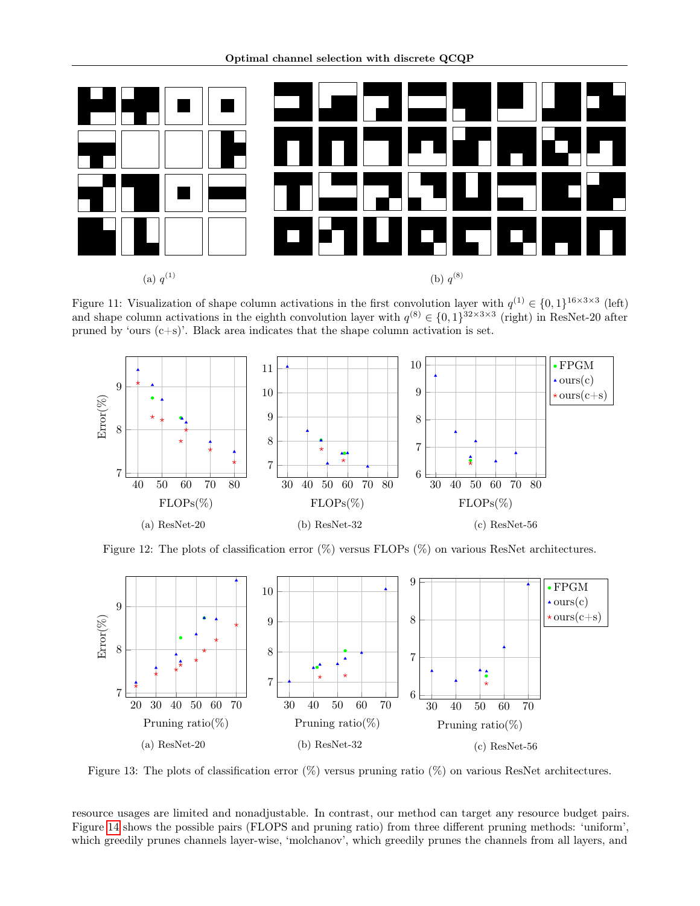<span id="page-25-0"></span>

Figure 11: Visualization of shape column activations in the first convolution layer with  $q^{(1)} \in \{0,1\}^{16 \times 3 \times 3}$  (left) and shape column activations in the eighth convolution layer with  $q^{(8)} \in \{0,1\}^{32\times3\times3}$  (right) in ResNet-20 after pruned by 'ours (c+s)'. Black area indicates that the shape column activation is set.

<span id="page-25-1"></span>

Figure 12: The plots of classification error  $(\%)$  versus FLOPs  $(\%)$  on various ResNet architectures.

<span id="page-25-2"></span>

Figure 13: The plots of classification error (%) versus pruning ratio (%) on various ResNet architectures.

resource usages are limited and nonadjustable. In contrast, our method can target any resource budget pairs. Figure [14](#page-26-0) shows the possible pairs (FLOPS and pruning ratio) from three different pruning methods: 'uniform', which greedily prunes channels layer-wise, 'molchanov', which greedily prunes the channels from all layers, and